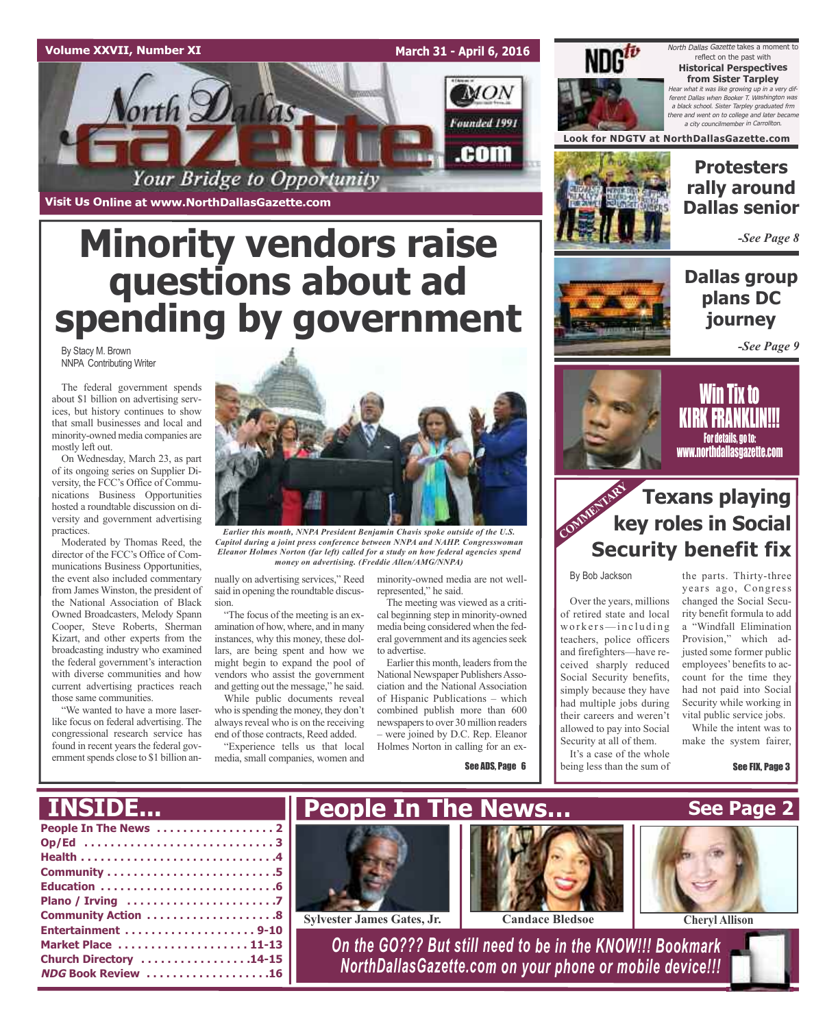### **Volume XXVII, Number XI**

**March 31 - April 6, 2016**



**Visit Us Online at www.NorthDallasGazette.com**

# **Minority vendors raise questions about ad spending by government**

By Stacy M. Brown NNPA Contributing Writer

The federal government spends about \$1 billion on advertising services, but history continues to show that small businesses and local and minority-owned media companies are mostly left out.

On Wednesday, March 23, as part of its ongoing series on Supplier Diversity, the FCC's Office of Communications Business Opportunities hosted a roundtable discussion on diversity and government advertising practices.

Moderated by Thomas Reed, the director of the FCC's Office of Communications Business Opportunities, the event also included commentary from James Winston, the president of the National Association of Black Owned Broadcasters, Melody Spann Cooper, Steve Roberts, Sherman Kizart, and other experts from the broadcasting industry who examined the federal government's interaction with diverse communities and how current advertising practices reach those same communities.

"We wanted to have a more laserlike focus on federal advertising. The congressional research service has found in recent years the federal government spends close to \$1 billion an-



*Earlier this month, NNPA President Benjamin Chavis spoke outside of the U.S. Capitol during a joint press conference between NNPA and NAHP. Congresswoman Eleanor Holmes Norton (far left) called for a study on how federal agencies spend money on advertising. (Freddie Allen/AMG/NNPA)*

nually on advertising services," Reed minority-owned media are not wellsaid in opening the roundtable discussion.

"The focus of the meeting is an examination of how, where, and in many instances, why this money, these dollars, are being spent and how we might begin to expand the pool of vendors who assist the government and getting out the message," he said. While public documents reveal

who is spending the money, they don't always reveal who is on the receiving end of those contracts, Reed added.

"Experience tells us that local media, small companies, women and

represented," he said.

The meeting was viewed as a critical beginning step in minority-owned media being considered when the federal government and its agencies seek to advertise.

Earlier this month, leaders from the National Newspaper Publishers Association and the National Association of Hispanic Publications – which combined publish more than 600 newspapers to over 30 million readers – were joined by D.C. Rep. Eleanor Holmes Norton in calling for an ex-

**People In The News…**

See ADS, Page 6



North Dallas Gazette takes a moment to reflect on the past with **Historical Perspectives from Sister Tarpley**  $\cdot$  what it was like growing up in a very different Dallas when Booker T. Washington was <sup>a</sup> black school. Sister Tarpley graduated frm there and went on to college and later became a city councilmember in Carrollto.

**Look for NDGTV at NorthDallasGazette.com**



### **Protesters rally around Dallas senior**

*-See Page 8*

### **Dallas group plans DC journey**





<u>Will tix to</u> <u>NINN FNANNLIN!!!</u> For details, go to: www.northdallasgazette.com

### **Texans playing key roles in Social Security benefit fix COMMENTARY**

By Bob Jackson

Over the years, millions of retired state and local workers—including teachers, police officers and firefighters—have received sharply reduced Social Security benefits, simply because they have had multiple jobs during their careers and weren't allowed to pay into Social Security at all of them.

It's a case of the whole being less than the sum of

the parts. Thirty-three years ago, Congress changed the Social Security benefit formula to add a "Windfall Elimination Provision," which adjusted some former public employees' benefits to account for the time they had not paid into Social Security while working in vital public service jobs.

While the intent was to make the system fairer,

**See Page 2**

See FIX, Page 3

### **People In The News . . . . . . . . . . . . . . . . . . 2 INSIDE...**

| Community Action 8     |
|------------------------|
| Entertainment 9-10     |
| Market Place  11-13    |
| Church Directory 14-15 |
| NDG Book Review 16     |





**Sylvester James Gates, Jr. Candace Bledsoe Cheryl Allison**

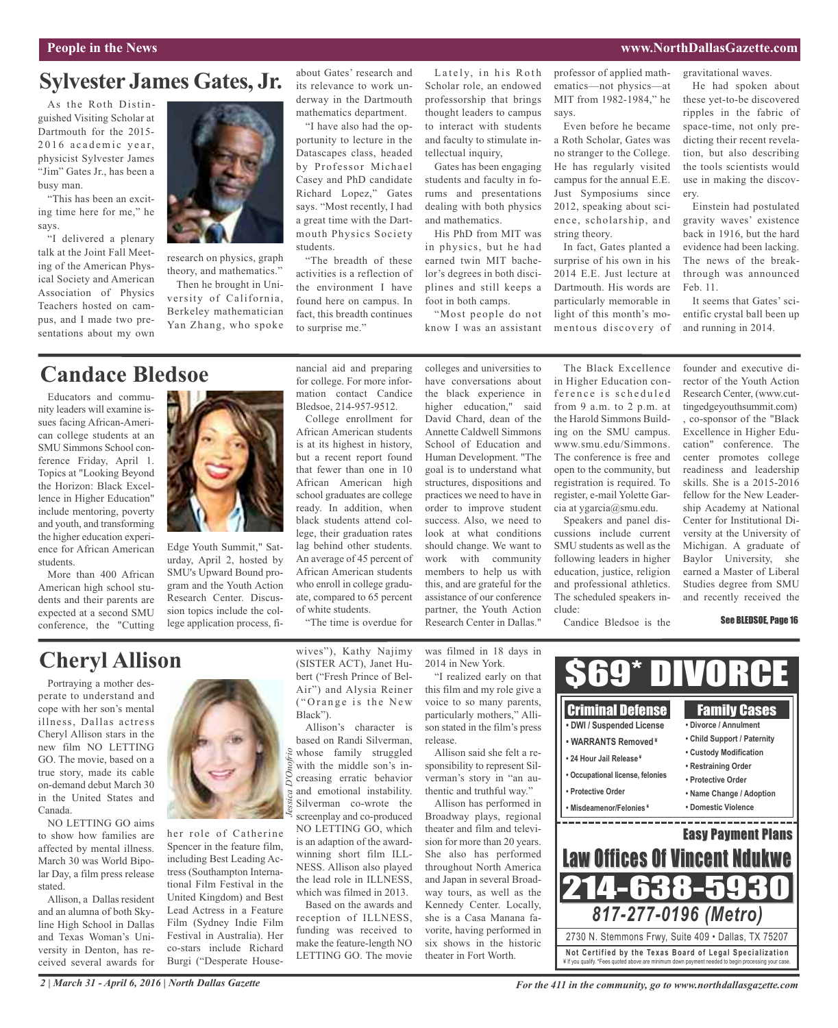### **People in the News www.NorthDallasGazette.com**

ery.

gravitational waves.

### **Sylvester James Gates, Jr.**

As the Roth Distinguished Visiting Scholar at Dartmouth for the 2015-  $2016$  academic year. physicist Sylvester James "Jim" Gates Jr., has been a busy man.

"This has been an exciting time here for me," he says.

"I delivered a plenary talk at the Joint Fall Meeting of the American Physical Society and American Association of Physics Teachers hosted on campus, and I made two presentations about my own



research on physics, graph theory, and mathematics."

Then he brought in University of California, Berkeley mathematician Yan Zhang, who spoke about Gates' research and its relevance to work underway in the Dartmouth mathematics department.

"I have also had the opportunity to lecture in the Datascapes class, headed by Professor Michael Casey and PhD candidate Richard Lopez," Gates says. "Most recently, I had a great time with the Dartmouth Physics Society students.

"The breadth of these activities is a reflection of the environment I have found here on campus. In fact, this breadth continues to surprise me."

Lately, in his Roth Scholar role, an endowed professorship that brings thought leaders to campus to interact with students and faculty to stimulate intellectual inquiry,

Gates has been engaging students and faculty in forums and presentations dealing with both physics and mathematics.

His PhD from MIT was in physics, but he had earned twin MIT bachelor's degrees in both disciplines and still keeps a foot in both camps.

"Most people do not know I was an assistant

colleges and universities to

professor of applied mathematics—not physics—at MIT from 1982-1984," he says.

Even before he became a Roth Scholar, Gates was no stranger to the College. He has regularly visited campus for the annual E.E. Just Symposiums since 2012, speaking about science, scholarship, and string theory.

In fact, Gates planted a surprise of his own in his 2014 E.E. Just lecture at Dartmouth. His words are particularly memorable in light of this month's momentous discovery of

He had spoken about these yet-to-be discovered ripples in the fabric of space-time, not only predicting their recent revelation, but also describing the tools scientists would use in making the discov-

Einstein had postulated gravity waves' existence back in 1916, but the hard evidence had been lacking. The news of the breakthrough was announced Feb. 11.

It seems that Gates' scientific crystal ball been up and running in 2014.

### **Candace Bledsoe**

Educators and community leaders will examine issues facing African-American college students at an SMU Simmons School conference Friday, April 1. Topics at "Looking Beyond the Horizon: Black Excellence in Higher Education" include mentoring, poverty and youth, and transforming the higher education experience for African American students.

More than 400 African American high school students and their parents are expected at a second SMU conference, the "Cutting



Edge Youth Summit," Saturday, April 2, hosted by SMU's Upward Bound program and the Youth Action Research Center. Discussion topics include the college application process, fi-

nancial aid and preparing for college. For more information contact Candice Bledsoe, 214-957-9512.

College enrollment for African American students is at its highest in history, but a recent report found that fewer than one in 10 African American high school graduates are college ready. In addition, when black students attend college, their graduation rates lag behind other students. An average of 45 percent of African American students who enroll in college graduate, compared to 65 percent of white students.

"The time is overdue for

have conversations about the black experience in higher education," said David Chard, dean of the Annette Caldwell Simmons School of Education and Human Development. "The goal is to understand what structures, dispositions and practices we need to have in order to improve student success. Also, we need to look at what conditions should change. We want to work with community members to help us with this, and are grateful for the assistance of our conference partner, the Youth Action Research Center in Dallas."

The Black Excellence in Higher Education conference is scheduled from 9 a.m. to 2 p.m. at the Harold Simmons Building on the SMU campus. www.smu.edu/Simmons. The conference is free and open to the community, but registration is required. To register, e-mail Yolette Garcia at ygarcia@smu.edu.

Speakers and panel discussions include current SMU students as well as the following leaders in higher education, justice, religion and professional athletics. The scheduled speakers include:

Candice Bledsoe is the

founder and executive director of the Youth Action Research Center, (www.cuttingedgeyouthsummit.com) , co-sponsor of the "Black Excellence in Higher Education" conference. The center promotes college readiness and leadership skills. She is a 2015-2016 fellow for the New Leadership Academy at National Center for Institutional Diversity at the University of Michigan. A graduate of Baylor University, she earned a Master of Liberal Studies degree from SMU and recently received the

#### See BLEDSOE, Page 16

## **Cheryl Allison**

Portraying a mother desperate to understand and cope with her son's mental illness, Dallas actress Cheryl Allison stars in the new film NO LETTING GO. The movie, based on a true story, made its cable on-demand debut March 30 in the United States and Canada.

NO LETTING GO aims to show how families are affected by mental illness. March 30 was World Bipolar Day, a film press release stated.

Allison, a Dallas resident and an alumna of both Skyline High School in Dallas and Texas Woman's University in Denton, has received several awards for



her role of Catherine Spencer in the feature film, including Best Leading Actress (Southampton International Film Festival in the United Kingdom) and Best Lead Actress in a Feature Film (Sydney Indie Film Festival in Australia). Her co-stars include Richard Burgi ("Desperate Housewives"), Kathy Najimy (SISTER ACT), Janet Hubert ("Fresh Prince of Bel-Air") and Alysia Reiner ("Orange is the New Black").

Allison's character is based on Randi Silverman,  $\frac{1}{2}$  whose family struggled with the middle son's increasing erratic behavior and emotional instability. Silverman co-wrote the screenplay and co-produced NO LETTING GO, which is an adaption of the awardwinning short film ILL-NESS. Allison also played the lead role in ILLNESS, which was filmed in 2013.

Based on the awards and reception of ILLNESS, funding was received to make the feature-length NO LETTING GO. The movie

was filmed in 18 days in 2014 in New York.

"I realized early on that this film and my role give a voice to so many parents, particularly mothers," Allison stated in the film's press release.

Allison said she felt a responsibility to represent Silverman's story in "an authentic and truthful way."

Allison has performed in Broadway plays, regional theater and film and television for more than 20 years. She also has performed throughout North America and Japan in several Broadway tours, as well as the Kennedy Center. Locally, she is a Casa Manana favorite, having performed in six shows in the historic theater in Fort Worth.



*2 | March 31 - April 6, 2016 | North Dallas Gazette*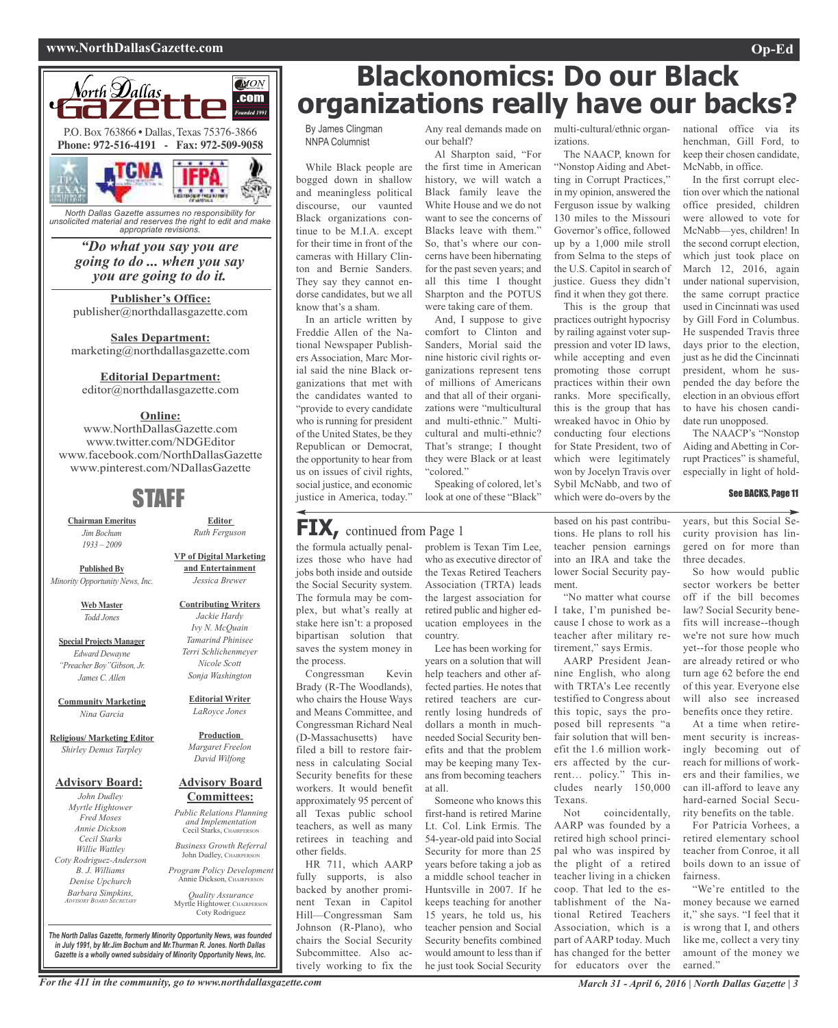#### **www.NorthDallasGazette.com Op-Ed**



*North Dallas Gazette assumes no responsibility for unsolicited material and reserves the right to edit and make appropriate revisions.*

> *"Do what you say you are going to do ... when you say you are going to do it.*

**Publisher's Office:** publisher@northdallasgazette.com

**Sales Department:** marketing@northdallasgazette.com

#### **Editorial Department:**

editor@northdallasgazette.com

### **Online:**

www.NorthDallasGazette.com www.twitter.com/NDGEditor www.facebook.com/NorthDallasGazette www.pinterest.com/NDallasGazette

### STAFF

**Chairman Emeritus** *Jim Bochum 1933 – 2009*

**Published By** *Minority Opportunity News, Inc.*

> **Web Master** *Todd Jones*

**Special Projects Manager** *Edward Dewayne "Preacher Boy"Gibson, Jr. James C. Allen*

**Community Marketing** *Nina Garcia*

**Religious/ Marketing Editor** *Shirley Demus Tarpley*

#### **Advisory Board:**

*John Dudley Myrtle Hightower Fred Moses Annie Dickson Cecil Starks Willie Wattley Coty Rodriguez-Anderson B. J. Williams Denise Upchurch Barbara Simpkins, ADVISORY BOARD SECRETARY*

*Terri Schlichenmeyer Nicole Scott Sonja Washington* **Editorial Writer** *LaRoyce Jones*

**Editor** *Ruth Ferguson*

**VP of Digital Marketing and Entertainment** *Jessica Brewer*

> *Jackie Hardy Ivy N. McQuain Tamarind Phinisee*

**Production**

*Margaret Freelon David Wilfong*

#### **Advisory Board Committees:**

*Public Relations Planning and Implementation* Cecil Starks, CHAIRPERSON

*Business Growth Referral* John Dudley, CHAIRPERSON

*Program Policy Development* Annie Dickson, CHAIRPER

*Quality Assurance* Myrtle Hightower, CHAIRPERSON Coty Rodriguez

*The North Dallas Gazette, formerly Minority Opportunity News, was founded in July 1991, by Mr.Jim Bochum and Mr.Thurman R. Jones. North Dallas Gazette is a wholly owned subsidairy of Minority Opportunity News, Inc.*

# **Blackonomics: Do our Black organizations really have our backs?**

By James Clingman NNPA Columnist

While Black people are bogged down in shallow and meaningless political discourse, our vaunted Black organizations continue to be M.I.A. except for their time in front of the cameras with Hillary Clinton and Bernie Sanders. They say they cannot endorse candidates, but we all know that's a sham.

In an article written by Freddie Allen of the National Newspaper Publishers Association, Marc Morial said the nine Black organizations that met with the candidates wanted to "provide to every candidate who is running for president of the United States, be they Republican or Democrat, the opportunity to hear from us on issues of civil rights, social justice, and economic justice in America, today."

our behalf?

Al Sharpton said, "For the first time in American history, we will watch a Black family leave the White House and we do not want to see the concerns of Blacks leave with them." So, that's where our concerns have been hibernating for the past seven years; and all this time I thought Sharpton and the POTUS were taking care of them.

And, I suppose to give comfort to Clinton and Sanders, Morial said the nine historic civil rights organizations represent tens of millions of Americans and that all of their organizations were "multicultural and multi-ethnic." Multicultural and multi-ethnic? That's strange; I thought they were Black or at least "colored."

Speaking of colored, let's look at one of these "Black"

### **FIX,** continued from Page <sup>1</sup>

the formula actually penalizes those who have had jobs both inside and outside the Social Security system. The formula may be complex, but what's really at stake here isn't: a proposed bipartisan solution that saves the system money in the process.

Congressman Kevin Brady (R-The Woodlands), who chairs the House Ways and Means Committee, and Congressman Richard Neal (D-Massachusetts) have filed a bill to restore fairness in calculating Social Security benefits for these workers. It would benefit approximately 95 percent of all Texas public school teachers, as well as many retirees in teaching and other fields.

HR 711, which AARP fully supports, is also backed by another prominent Texan in Capitol Hill—Congressman Sam Johnson (R-Plano), who chairs the Social Security Subcommittee. Also actively working to fix the

problem is Texan Tim Lee, who as executive director of the Texas Retired Teachers Association (TRTA) leads the largest association for retired public and higher education employees in the country.

Lee has been working for years on a solution that will help teachers and other affected parties. He notes that retired teachers are currently losing hundreds of dollars a month in muchneeded Social Security benefits and that the problem may be keeping many Texans from becoming teachers at all.

Someone who knows this first-hand is retired Marine Lt. Col. Link Ermis. The 54-year-old paid into Social Security for more than 25 years before taking a job as a middle school teacher in Huntsville in 2007. If he keeps teaching for another 15 years, he told us, his teacher pension and Social Security benefits combined would amount to less than if he just took Social Security

Any real demands made on multi-cultural/ethnic organizations.

> The NAACP, known for "Nonstop Aiding and Abetting in Corrupt Practices," in my opinion, answered the Ferguson issue by walking 130 miles to the Missouri Governor's office, followed up by a 1,000 mile stroll from Selma to the steps of the U.S. Capitol in search of justice. Guess they didn't find it when they got there.

This is the group that practices outright hypocrisy by railing against voter suppression and voter ID laws, while accepting and even promoting those corrupt practices within their own ranks. More specifically, this is the group that has wreaked havoc in Ohio by conducting four elections for State President, two of which were legitimately won by Jocelyn Travis over Sybil McNabb, and two of which were do-overs by the

based on his past contributions. He plans to roll his teacher pension earnings into an IRA and take the lower Social Security payment.

"No matter what course I take, I'm punished because I chose to work as a teacher after military retirement," says Ermis.

AARP President Jeannine English, who along with TRTA's Lee recently testified to Congress about this topic, says the proposed bill represents "a fair solution that will benefit the 1.6 million workers affected by the current… policy." This includes nearly 150,000 Texans.

Not coincidentally, AARP was founded by a retired high school principal who was inspired by the plight of a retired teacher living in a chicken coop. That led to the establishment of the National Retired Teachers Association, which is a part of AARP today. Much has changed for the better for educators over the

national office via its henchman, Gill Ford, to keep their chosen candidate, McNabb, in office.

In the first corrupt election over which the national office presided, children were allowed to vote for McNabb—yes, children! In the second corrupt election, which just took place on March 12, 2016, again under national supervision, the same corrupt practice used in Cincinnati was used by Gill Ford in Columbus. He suspended Travis three days prior to the election, just as he did the Cincinnati president, whom he suspended the day before the election in an obvious effort to have his chosen candidate run unopposed.

The NAACP's "Nonstop Aiding and Abetting in Corrupt Practices" is shameful, especially in light of hold-

#### See BACKS, Page 11

years, but this Social Security provision has lingered on for more than three decades.

So how would public sector workers be better off if the bill becomes law? Social Security benefits will increase--though we're not sure how much yet--for those people who are already retired or who turn age 62 before the end of this year. Everyone else will also see increased benefits once they retire.

At a time when retirement security is increasingly becoming out of reach for millions of workers and their families, we can ill-afford to leave any hard-earned Social Security benefits on the table.

For Patricia Vorhees, a retired elementary school teacher from Conroe, it all boils down to an issue of fairness.

"We're entitled to the money because we earned it," she says. "I feel that it is wrong that I, and others like me, collect a very tiny amount of the money we earned."

**Contributing Writers**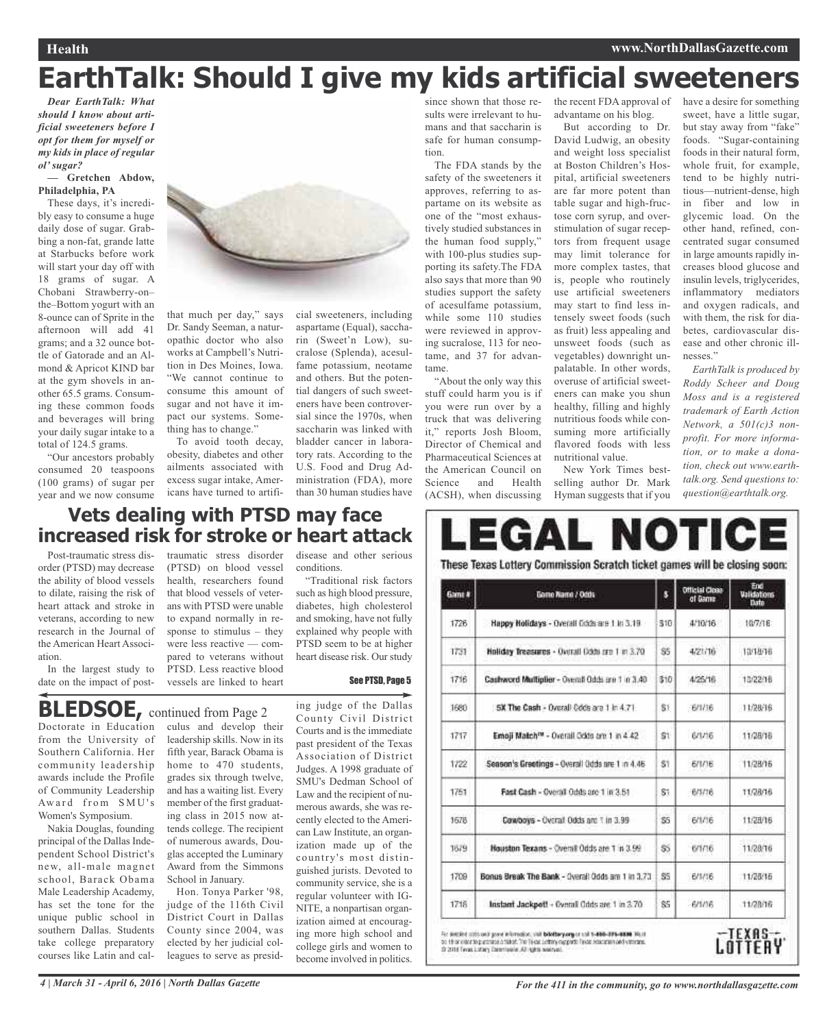# **EarthTalk: Should I give my kids artificial sweeteners**

*Dear EarthTalk: What should I know about artificial sweeteners before I opt for them for myself or my kids in place of regular ol' sugar?*

#### **— Gretchen Abdow, Philadelphia, PA**

These days, it's incredibly easy to consume a huge daily dose of sugar. Grabbing a non-fat, grande latte at Starbucks before work will start your day off with 18 grams of sugar. A Chobani Strawberry-on– the–Bottom yogurt with an 8-ounce can of Sprite in the afternoon will add 41 grams; and a 32 ounce bottle of Gatorade and an Almond & Apricot KIND bar at the gym shovels in another 65.5 grams. Consuming these common foods and beverages will bring your daily sugar intake to a total of 124.5 grams.

"Our ancestors probably consumed 20 teaspoons (100 grams) of sugar per year and we now consume



that much per day," says Dr. Sandy Seeman, a naturopathic doctor who also works at Campbell's Nutrition in Des Moines, Iowa. "We cannot continue to consume this amount of sugar and not have it impact our systems. Something has to change."

To avoid tooth decay, obesity, diabetes and other ailments associated with excess sugar intake, Americans have turned to artifi-

cial sweeteners, including aspartame (Equal), saccharin (Sweet'n Low), sucralose (Splenda), acesulfame potassium, neotame and others. But the potential dangers of such sweeteners have been controversial since the 1970s, when saccharin was linked with bladder cancer in laboratory rats. According to the U.S. Food and Drug Administration (FDA), more than 30 human studies have

since shown that those results were irrelevant to humans and that saccharin is safe for human consumption.

The FDA stands by the safety of the sweeteners it approves, referring to aspartame on its website as one of the "most exhaustively studied substances in the human food supply," with 100-plus studies supporting its safety.The FDA also says that more than 90 studies support the safety of acesulfame potassium, while some 110 studies were reviewed in approving sucralose, 113 for neotame, and 37 for advantame.

"About the only way this stuff could harm you is if you were run over by a truck that was delivering it," reports Josh Bloom, Director of Chemical and Pharmaceutical Sciences at the American Council on Science and Health (ACSH), when discussing the recent FDA approval of advantame on his blog.

But according to Dr. David Ludwig, an obesity and weight loss specialist at Boston Children's Hospital, artificial sweeteners are far more potent than table sugar and high-fructose corn syrup, and overstimulation of sugar receptors from frequent usage may limit tolerance for more complex tastes, that is, people who routinely use artificial sweeteners may start to find less intensely sweet foods (such as fruit) less appealing and unsweet foods (such as vegetables) downright unpalatable. In other words, overuse of artificial sweeteners can make you shun healthy, filling and highly nutritious foods while consuming more artificially flavored foods with less nutritional value.

New York Times bestselling author Dr. Mark Hyman suggests that if you

have a desire for something sweet, have a little sugar, but stay away from "fake" foods. "Sugar-containing foods in their natural form, whole fruit, for example, tend to be highly nutritious—nutrient-dense, high in fiber and low in glycemic load. On the other hand, refined, concentrated sugar consumed in large amounts rapidly increases blood glucose and insulin levels, triglycerides, inflammatory mediators and oxygen radicals, and with them, the risk for diabetes, cardiovascular disease and other chronic illnesses."

*EarthTalk is produced by Roddy Scheer and Doug Moss and is a registered trademark of Earth Action Network, a 501(c)3 nonprofit. For more information, or to make a donation, check out www.earthtalk.org. Send questions to: question@earthtalk.org.*

### **Vets dealing with PTSD may face increased risk for stroke or heart attack**

Post-traumatic stress disorder (PTSD) may decrease the ability of blood vessels to dilate, raising the risk of heart attack and stroke in veterans, according to new research in the Journal of the American Heart Association.

In the largest study to date on the impact of post-

traumatic stress disorder (PTSD) on blood vessel health, researchers found that blood vessels of veterans with PTSD were unable to expand normally in response to stimulus – they were less reactive — compared to veterans without PTSD. Less reactive blood vessels are linked to heart

disease and other serious conditions.

"Traditional risk factors such as high blood pressure, diabetes, high cholesterol and smoking, have not fully explained why people with PTSD seem to be at higher heart disease risk. Our study

#### See PTSD, Page 5

### **BLEDSOE,** continued from Page <sup>2</sup>

Doctorate in Education from the University of Southern California. Her community leadership awards include the Profile of Community Leadership Award from SMU's Women's Symposium.

Nakia Douglas, founding principal of the Dallas Independent School District's new, all-male magnet school, Barack Obama Male Leadership Academy, has set the tone for the unique public school in southern Dallas. Students take college preparatory courses like Latin and cal-

culus and develop their leadership skills. Now in its fifth year, Barack Obama is home to 470 students, grades six through twelve, and has a waiting list. Every member of the first graduating class in 2015 now attends college. The recipient of numerous awards, Douglas accepted the Luminary Award from the Simmons School in January.

Hon. Tonya Parker '98, judge of the 116th Civil District Court in Dallas County since 2004, was elected by her judicial colleagues to serve as presiding judge of the Dallas County Civil District Courts and is the immediate past president of the Texas Association of District Judges. A 1998 graduate of SMU's Dedman School of Law and the recipient of numerous awards, she was recently elected to the American Law Institute, an organization made up of the country's most distinguished jurists. Devoted to community service, she is a regular volunteer with IG-NITE, a nonpartisan organization aimed at encouraging more high school and college girls and women to become involved in politics.

# EGAL NOTICE These Texas Lottery Commission Scratch ticket games will be closing soon: **Contract Communication of Final Contract Contract Contract Contract Contract Contract Contract Contract Contract Contract Contract Contract Contract Contract Contract Contract Contract Contract Contract Contract Contract**

| Game # | Game Name / Odds                                       |                 | omese cruse | Validations<br>Date |
|--------|--------------------------------------------------------|-----------------|-------------|---------------------|
| 1726   | Happy Holidays - Overall Cods are 1 in 3.19            | 310             | 4/10/16     | 10/7/16             |
| 1731   | Holiday Treasures - Overall Gdds are 1 in 3.70         | S5              | 4/21/16     | 13/18/16            |
| 1716   | Cashword Multiplier - Overall Odds are 1 in 3.40       | 310             | 4/25/18     | 10/22/16            |
| 1680   | 5X The Cash - Overall Code are 1 in 4.71               | S1              | -6/1/16     | 11/28/16            |
| 1717   | Emoji Match <sup>ru</sup> - Overall Odds are 1 in 4.42 | S1              | 0/1/16      | 11/28/16            |
| 1722   | Season's Greetings - Overall Odds are 1 in 4.46        | S1              | 6/1/16      | 11/28/16            |
| 1751   | Fast Cash - Overall Odds are 1 in 3.51                 | S1              | 6/5/16      | 11/28/16            |
| 1678   | Cowboys - Overall Odds are 1 in 3.99                   | \$5             | 6/1/36      | 11/28/16            |
| 1679   | Houston Texans - Overall Odds are 1 in 3.99            | 55              | 6/1/16      | 11/28/16            |
| 1799   | Bonus Break The Bank - Overall Odds are 1 in 3.73      | S5              | 6/1/16      | 11/28/16            |
| 1718   | Instant Jackpott - Overall Odds are 1 in 3.70.         | SS <sub>1</sub> | $-B/3/36$   | 11/28/16            |

to 19 or contribuyer and a fillight first fields soften capperts from equation and various to 2012 Features in the planning AU agits welcome

LOTTERY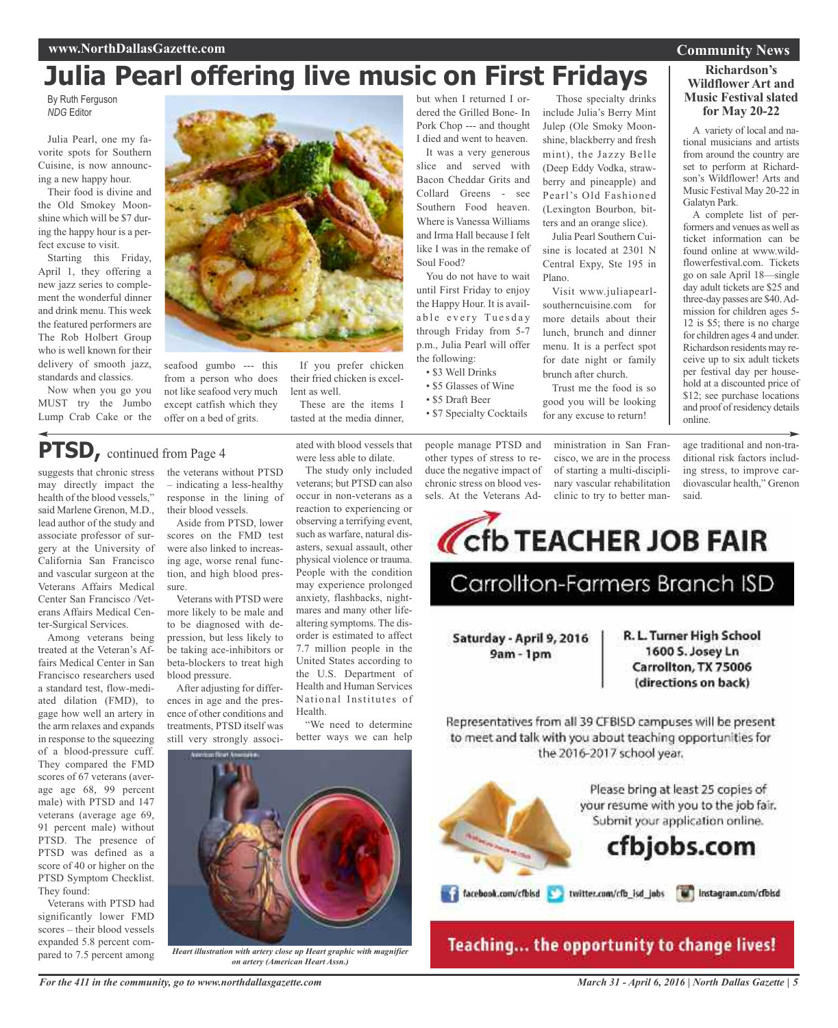# **Julia Pearl offering live music on First Fridays**

By Ruth Ferguson *NDG* Editor

Julia Pearl, one my favorite spots for Southern Cuisine, is now announcing a new happy hour.

Their food is divine and the Old Smokey Moonshine which will be \$7 during the happy hour is a perfect excuse to visit.

Starting this Friday, April 1, they offering a new jazz series to complement the wonderful dinner and drink menu. This week the featured performers are The Rob Holbert Group who is well known for their delivery of smooth jazz, standards and classics.

Now when you go you MUST try the Jumbo Lump Crab Cake or the



seafood gumbo --- this from a person who does not like seafood very much except catfish which they offer on a bed of grits.

If you prefer chicken their fried chicken is excellent as well.

These are the items I tasted at the media dinner, but when I returned I ordered the Grilled Bone- In Pork Chop --- and thought I died and went to heaven.

It was a very generous slice and served with Bacon Cheddar Grits and Collard Greens - see Southern Food heaven. Where is Vanessa Williams and Irma Hall because I felt like I was in the remake of Soul Food?

You do not have to wait until First Friday to enjoy the Happy Hour. It is available every Tuesday through Friday from 5-7 p.m., Julia Pearl will offer the following:

- \$3 Well Drinks
- \$5 Glasses of Wine
- \$5 Draft Beer
- \$7 Specialty Cocktails

people manage PTSD and other types of stress to reduce the negative impact of chronic stress on blood vessels. At the Veterans Ad-

Those specialty drinks include Julia's Berry Mint Julep (Ole Smoky Moonshine, blackberry and fresh mint), the Jazzy Belle (Deep Eddy Vodka, strawberry and pineapple) and Pearl's Old Fashioned (Lexington Bourbon, bitters and an orange slice).

Julia Pearl Southern Cuisine is located at 2301 N Central Expy, Ste 195 in Plano.

Visit www.juliapearlsoutherncuisine.com for more details about their lunch, brunch and dinner menu. It is a perfect spot for date night or family brunch after church.

Trust me the food is so good you will be looking for any excuse to return!

Corporation TEACHER JOB FAIR

Carrollton-Farmers Branch ISD

ministration in San Francisco, we are in the process of starting a multi-disciplinary vascular rehabilitation clinic to try to better man-

age traditional and non-traditional risk factors including stress, to improve cardiovascular health," Grenon

said.

R. L. Turner High School

1600 S. Josey Ln

Carrollton, TX 75006 (directions on back)

online.

suggests that chronic stress **PTSD,** continued from Page <sup>4</sup>

may directly impact the health of the blood vessels," said Marlene Grenon, M.D., lead author of the study and associate professor of surgery at the University of California San Francisco and vascular surgeon at the Veterans Affairs Medical Center San Francisco /Veterans Affairs Medical Center-Surgical Services.

Among veterans being treated at the Veteran's Affairs Medical Center in San Francisco researchers used a standard test, flow-mediated dilation (FMD), to gage how well an artery in the arm relaxes and expands in response to the squeezing of a blood-pressure cuff. They compared the FMD scores of 67 veterans (average age 68, 99 percent male) with PTSD and 147 veterans (average age 69, 91 percent male) without PTSD. The presence of PTSD was defined as a score of 40 or higher on the PTSD Symptom Checklist. They found:

Veterans with PTSD had significantly lower FMD scores – their blood vessels expanded 5.8 percent compared to 7.5 percent among the veterans without PTSD – indicating a less-healthy response in the lining of their blood vessels.

Aside from PTSD, lower scores on the FMD test were also linked to increasing age, worse renal function, and high blood pressure.

Veterans with PTSD were more likely to be male and to be diagnosed with depression, but less likely to be taking ace-inhibitors or beta-blockers to treat high blood pressure.

After adjusting for differences in age and the presence of other conditions and treatments, PTSD itself was still very strongly associated with blood vessels that were less able to dilate.

The study only included veterans; but PTSD can also occur in non-veterans as a reaction to experiencing or observing a terrifying event, such as warfare, natural disasters, sexual assault, other physical violence or trauma. People with the condition may experience prolonged anxiety, flashbacks, nightmares and many other lifealtering symptoms. The disorder is estimated to affect 7.7 million people in the United States according to the U.S. Department of Health and Human Services National Institutes of Health.

"We need to determine better ways we can help



*Heart illustration with artery close up Heart graphic with magnifier on artery (American Heart Assn.)*

Representatives from all 39 CFBISD campuses will be present to meet and talk with you about teaching opportunities for the 2016-2017 school year.

Saturday - April 9, 2016

 $9am - 1pm$ 

Please bring at least 25 copies of your resume with you to the job fair. Submit your application online.

# cfbjobs.com

Teaching... the opportunity to change lives!

### **Richardson's Wildflower Art and Music Festival slated for May 20-22**

A variety of local and national musicians and artists from around the country are set to perform at Richardson's Wildflower! Arts and Music Festival May 20-22 in

A complete list of performers and venues as well as ticket information can be found online at www.wildflowerfestival.com. Tickets go on sale April 18—single day adult tickets are \$25 and three-day passes are \$40.Admission for children ages 5- 12 is \$5; there is no charge for children ages 4 and under. Richardson residents may receive up to six adult tickets per festival day per household at a discounted price of \$12; see purchase locations and proof of residency details

Galatyn Park.

facebook.com/cfbisd a twitter.com/cfb\_isd\_jobs a lestagram.com/cfbisd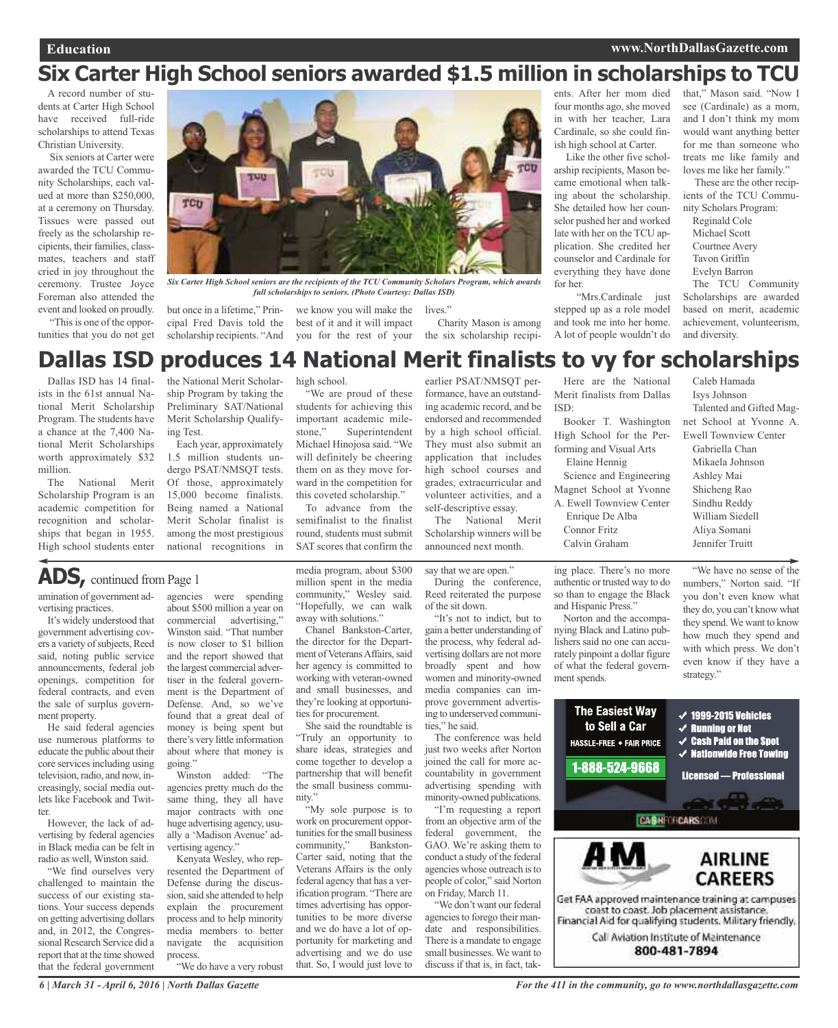# **Six Carter High School seniors awarded \$1.5 million in scholarships to TCU**

A record number of students at Carter High School have received full-ride scholarships to attend Texas Christian University.

Six seniors at Carter were awarded the TCU Community Scholarships, each valued at more than \$250,000, at a ceremony on Thursday. Tissues were passed out freely as the scholarship recipients, their families, classmates, teachers and staff cried in joy throughout the ceremony. Trustee Joyce Foreman also attended the event and looked on proudly.

"This is one of the opportunities that you do not get



*Six Carter High School seniors are the recipients of the TCU Community Scholars Program, which awards full scholarships to seniors. (Photo Courtesy: Dallas ISD)*

but once in a lifetime," Principal Fred Davis told the scholarship recipients. "And

we know you will make the lives." best of it and it will impact you for the rest of your the six scholarship recipi-

Charity Mason is among

ents. After her mom died four months ago, she moved in with her teacher, Lara Cardinale, so she could finish high school at Carter.

Like the other five scholarship recipients, Mason became emotional when talking about the scholarship. She detailed how her counselor pushed her and worked late with her on the TCU application. She credited her counselor and Cardinale for everything they have done for her.

"Mrs.Cardinale just stepped up as a role model and took me into her home. A lot of people wouldn't do that," Mason said. "Now I see (Cardinale) as a mom, and I don't think my mom would want anything better for me than someone who treats me like family and loves me like her family."

These are the other recipients of the TCU Community Scholars Program:

Reginald Cole Michael Scott Courtnee Avery Tavon Griffin Evelyn Barron

The TCU Community Scholarships are awarded based on merit, academic achievement, volunteerism, and diversity.

### earlier PSAT/NMSQT per-**Dallas ISD produces 14 National Merit finalists to vy for scholarships**

Dallas ISD has 14 finalists in the 61st annual National Merit Scholarship Program. The students have a chance at the 7,400 National Merit Scholarships worth approximately \$32 million.

The National Merit Scholarship Program is an academic competition for recognition and scholarships that began in 1955. High school students enter the National Merit Scholarship Program by taking the Preliminary SAT/National Merit Scholarship Qualifying Test.

Each year, approximately 1.5 million students undergo PSAT/NMSQT tests. Of those, approximately 15,000 become finalists. Being named a National Merit Scholar finalist is among the most prestigious national recognitions in high school.

"We are proud of these students for achieving this important academic milestone," Superintendent Michael Hinojosa said. "We will definitely be cheering them on as they move forward in the competition for this coveted scholarship."

To advance from the semifinalist to the finalist round, students must submit SAT scores that confirm the

media program, about \$300 million spent in the media community," Wesley said. "Hopefully, we can walk away with solutions."

Chanel Bankston-Carter, the director for the Department of Veterans Affairs, said her agency is committed to working with veteran-owned and small businesses, and they're looking at opportunities for procurement.

She said the roundtable is "Truly an opportunity to share ideas, strategies and come together to develop a partnership that will benefit the small business commu-

"My sole purpose is to work on procurement opportunities for the small business community," Bankston-Carter said, noting that the Veterans Affairs is the only federal agency that has a verification program. "There are

portunity for marketing and advertising and we do use that. So, I would just love to

nity."

formance, have an outstanding academic record, and be endorsed and recommended by a high school official. They must also submit an application that includes high school courses and grades, extracurricular and volunteer activities, and a self-descriptive essay.

The National Merit Scholarship winners will be announced next month.

say that we are open."

During the conference, Reed reiterated the purpose of the sit down.

"It's not to indict, but to gain a better understanding of the process, why federal advertising dollars are not more broadly spent and how women and minority-owned media companies can improve government advertising to underserved communities," he said.

The conference was held just two weeks after Norton joined the call for more accountability in government advertising spending with minority-owned publications.

"I'm requesting a report from an objective arm of the federal government, the GAO. We're asking them to conduct a study of the federal agencies whose outreach isto people of color," said Norton on Friday, March 11.

"We don't want our federal agencies to forego their mandate and responsibilities. There is a mandate to engage small businesses. We want to discuss if that is, in fact, tak-

Here are the National Merit finalists from Dallas ISD:

Booker T. Washington High School for the Performing and Visual Arts Elaine Hennig

Science and Engineering Magnet School at Yvonne

A. Ewell Townview Center

Enrique De Alba Connor Fritz Calvin Graham

ing place. There's no more authentic or trusted way to do so than to engage the Black and Hispanic Press."

Norton and the accompanying Black and Latino publishers said no one can accurately pinpoint a dollar figure of what the federal government spends.

"We have no sense of the numbers," Norton said. "If you don't even know what they do, you can't know what they spend. We want to know how much they spend and with which press. We don't even know if they have a strategy."



### **ADS,** continued from Page <sup>1</sup>

amination of government advertising practices.

It's widely understood that government advertising covers a variety of subjects, Reed said, noting public service announcements, federal job openings, competition for federal contracts, and even the sale of surplus government property.

He said federal agencies use numerous platforms to educate the public about their core services including using television, radio, and now, increasingly, social media outlets like Facebook and Twitter.

However, the lack of advertising by federal agencies in Black media can be felt in radio as well, Winston said.

"We find ourselves very challenged to maintain the success of our existing stations. Your success depends on getting advertising dollars and, in 2012, the Congressional Research Service did a report that at the time showed that the federal government

*6 | March 31 - April 6, 2016 | North Dallas Gazette*

agencies were spending about \$500 million a year on<br>commercial advertising." advertising," Winston said. "That number is now closer to \$1 billion and the report showed that the largest commercial advertiser in the federal government is the Department of Defense. And, so we've found that a great deal of money is being spent but there's very little information about where that money is going."

Winston added: "The agencies pretty much do the same thing, they all have major contracts with one huge advertising agency, usually a 'Madison Avenue' advertising agency."

Kenyata Wesley, who represented the Department of Defense during the discussion, said she attended to help explain the procurement process and to help minority media members to better navigate the acquisition process.

times advertising has opportunities to be more diverse and we do have a lot of op-

"We do have a very robust

Caleb Hamada Isys Johnson Talented and Gifted Magnet School at Yvonne A. Ewell Townview Center Gabriella Chan Mikaela Johnson

Ashley Mai Shicheng Rao Sindhu Reddy William Siedell Aliya Somani Jennifer Truitt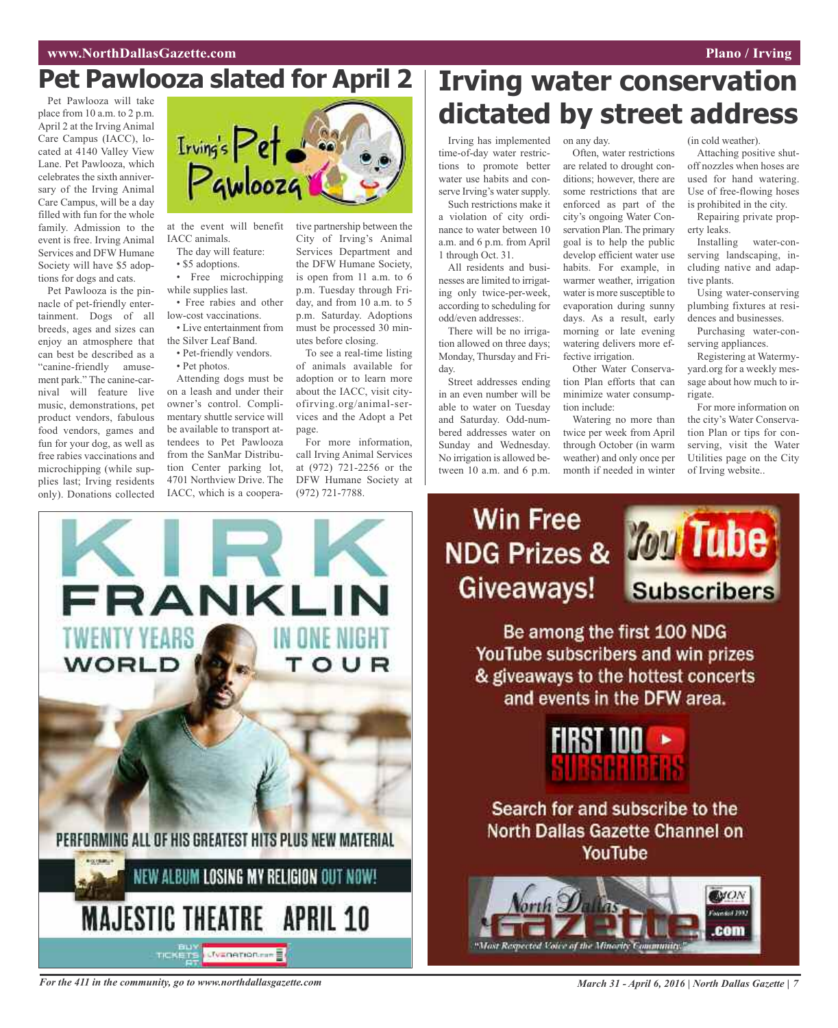## **Pet Pawlooza slated for April 2**

Pet Pawlooza will take place from 10 a.m. to 2 p.m. April 2 at the Irving Animal Care Campus (IACC), located at 4140 Valley View Lane. Pet Pawlooza, which celebrates the sixth anniversary of the Irving Animal Care Campus, will be a day filled with fun for the whole family. Admission to the event is free. Irving Animal Services and DFW Humane Society will have \$5 adoptions for dogs and cats.

Pet Pawlooza is the pinnacle of pet-friendly entertainment. Dogs of all breeds, ages and sizes can enjoy an atmosphere that can best be described as a "canine-friendly amusement park." The canine-carnival will feature live music, demonstrations, pet product vendors, fabulous food vendors, games and fun for your dog, as well as free rabies vaccinations and microchipping (while supplies last; Irving residents only). Donations collected



at the event will benefit IACC animals.

The day will feature: • \$5 adoptions.

• Free microchipping while supplies last.

• Free rabies and other low-cost vaccinations.

- Live entertainment from the Silver Leaf Band.
- Pet-friendly vendors.
- Pet photos.

Attending dogs must be on a leash and under their owner's control. Complimentary shuttle service will be available to transport attendees to Pet Pawlooza from the SanMar Distribution Center parking lot, 4701 Northview Drive. The IACC, which is a coopera-

tive partnership between the City of Irving's Animal Services Department and the DFW Humane Society, is open from 11 a.m. to 6 p.m. Tuesday through Friday, and from 10 a.m. to 5 p.m. Saturday. Adoptions must be processed 30 minutes before closing.

To see a real-time listing of animals available for adoption or to learn more about the IACC, visit cityofirving.org/animal-services and the Adopt a Pet page.

For more information, call Irving Animal Services at (972) 721-2256 or the DFW Humane Society at (972) 721-7788.



# **Irving water conservation dictated by street address**

Irving has implemented time-of-day water restrictions to promote better water use habits and conserve Irving's water supply.

Such restrictions make it a violation of city ordinance to water between 10 a.m. and 6 p.m. from April 1 through Oct. 31.

All residents and businesses are limited to irrigating only twice-per-week, according to scheduling for odd/even addresses:.

There will be no irrigation allowed on three days; Monday, Thursday and Friday.

Street addresses ending in an even number will be able to water on Tuesday and Saturday. Odd-numbered addresses water on Sunday and Wednesday. No irrigation is allowed between 10 a.m. and 6 p.m.

### on any day.

Often, water restrictions are related to drought conditions; however, there are some restrictions that are enforced as part of the city's ongoing Water Conservation Plan. The primary goal is to help the public develop efficient water use habits. For example, in warmer weather, irrigation water is more susceptible to evaporation during sunny days. As a result, early morning or late evening watering delivers more effective irrigation.

Other Water Conservation Plan efforts that can minimize water consumption include:

Watering no more than twice per week from April through October (in warm weather) and only once per month if needed in winter

(in cold weather).

Attaching positive shutoff nozzles when hoses are used for hand watering. Use of free-flowing hoses is prohibited in the city.

Repairing private property leaks.

Installing water-conserving landscaping, including native and adaptive plants.

Using water-conserving plumbing fixtures at residences and businesses.

Purchasing water-conserving appliances.

Registering at Watermyyard.org for a weekly message about how much to irrigate.

For more information on the city's Water Conservation Plan or tips for conserving, visit the Water Utilities page on the City of Irving website..



Be among the first 100 NDG YouTube subscribers and win prizes & giveaways to the hottest concerts and events in the DFW area.



Search for and subscribe to the North Dallas Gazette Channel on YouTube



For the 411 in the community, go to www.northdallasgazette.com March 31 - April 6, 2016 | North Dallas Gazette | 7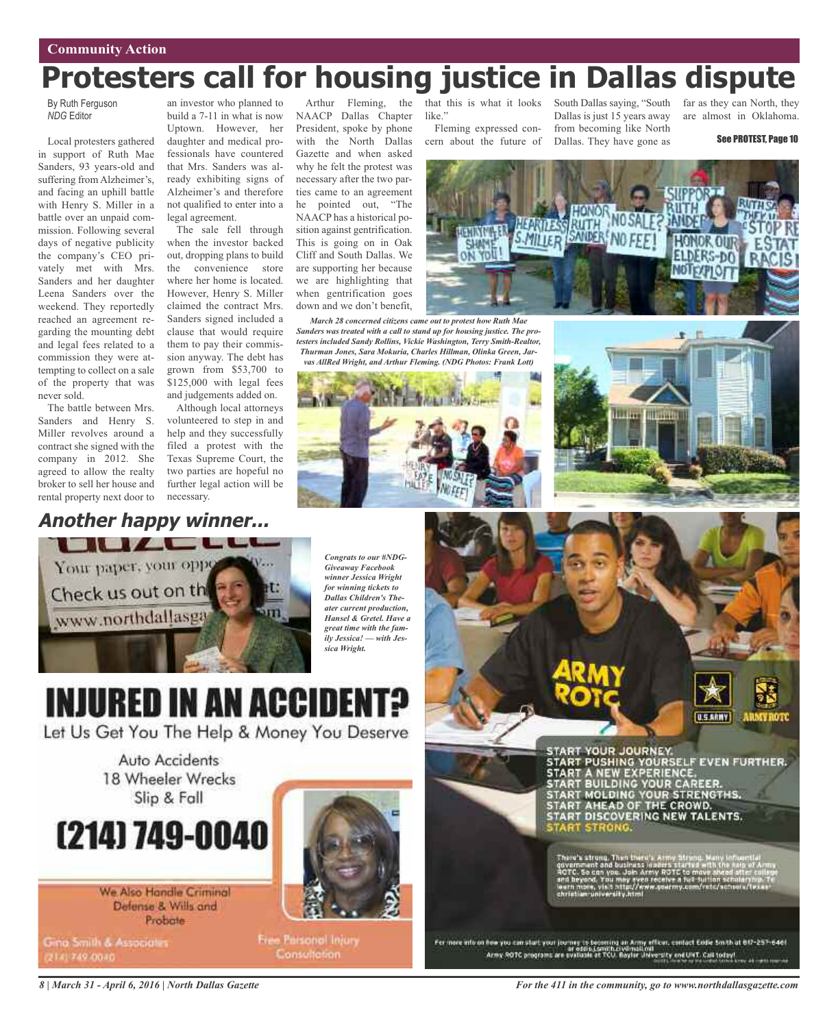# **Protesters call for housing justice in Dallas dispute**

*March 28 concerned citizens came out to protest how Ruth Mae*

with the North Dallas Gazette and when asked why he felt the protest was necessary after the two parties came to an agreement he pointed out, "The NAACP has a historical position against gentrification. This is going on in Oak Cliff and South Dallas. We are supporting her because we are highlighting that when gentrification goes down and we don't benefit,

By Ruth Ferguson *NDG* Editor

Local protesters gathered in support of Ruth Mae Sanders, 93 years-old and suffering from Alzheimer's, and facing an uphill battle with Henry S. Miller in a battle over an unpaid commission. Following several days of negative publicity the company's CEO privately met with Mrs. Sanders and her daughter Leena Sanders over the weekend. They reportedly reached an agreement regarding the mounting debt and legal fees related to a commission they were attempting to collect on a sale of the property that was never sold.

The battle between Mrs. Sanders and Henry S. Miller revolves around a contract she signed with the company in 2012. She agreed to allow the realty broker to sell her house and rental property next door to

an investor who planned to build a 7-11 in what is now Uptown. However, her daughter and medical professionals have countered that Mrs. Sanders was already exhibiting signs of Alzheimer's and therefore not qualified to enter into a legal agreement.

The sale fell through when the investor backed out, dropping plans to build the convenience store where her home is located. However, Henry S. Miller claimed the contract Mrs. Sanders signed included a clause that would require them to pay their commission anyway. The debt has grown from \$53,700 to \$125,000 with legal fees and judgements added on.

Although local attorneys volunteered to step in and help and they successfully filed a protest with the Texas Supreme Court, the two parties are hopeful no further legal action will be necessary.

Arthur Fleming, the that this is what it looks NAACP Dallas Chapter President, spoke by phone like."

Fleming expressed concern about the future of South Dallas saying, "South Dallas is just 15 years away from becoming like North Dallas. They have gone as

far as they can North, they are almost in Oklahoma.



*Sanders was treated with a call to stand up for housing justice. The pro*i. *testers included Sandy Rollins, Vickie Washington, Terry Smith-Realtor, Thurman Jones, Sara Mokuria, Charles Hillman, Olinka Green, Jarvas AllRed Wright, and Arthur Fleming. (NDG Photos: Frank Lott)* **Diver House** 

### **Another happy winner...**



*Congrats to our #NDG-Giveaway Facebook winner Jessica Wright for winning tickets to Dallas Children's Theater current production, Hansel & Gretel. Have a great time with the family Jessica! — with Jessica Wright.*

# **INJURED IN AN ACCIDENT?**

Let Us Get You The Help & Money You Deserve

Auto Accidents 18 Wheeler Wrecks Slip & Fall

# (214) 749-0040

We Also Handle Criminal Defense & Wills and Probate

Gina Smith & Associates (214) 749-0040



**Free Parsonol Injury** Consultation:

START YOUR JOURNEY.<br>START PUSHING YOURSELF EVEN FURTHER.<br>START A NEW EXPERIENCE.<br>START BUILDING YOUR CAREER.<br>START MOLDING YOUR STRENGTHS.<br>START AHEAD OF THE CROWD.<br>START DISCOVERING NEW TALENTS. **START STRONG** 

i u's strunu. Thi<br>≀ersmant and bu

**U.S.ARMY** 

For more into on how you can start your journey to becoming an Army efficer, centert Easle Smith at 817-257-646f<br>Army ROTC programs are evaluate at TCU, Bayter Jinversity eneWNT. Call today!

*8 | March 31 - April 6, 2016 | North Dallas Gazette*

*For the 411 in the community, go to www.northdallasgazette.com*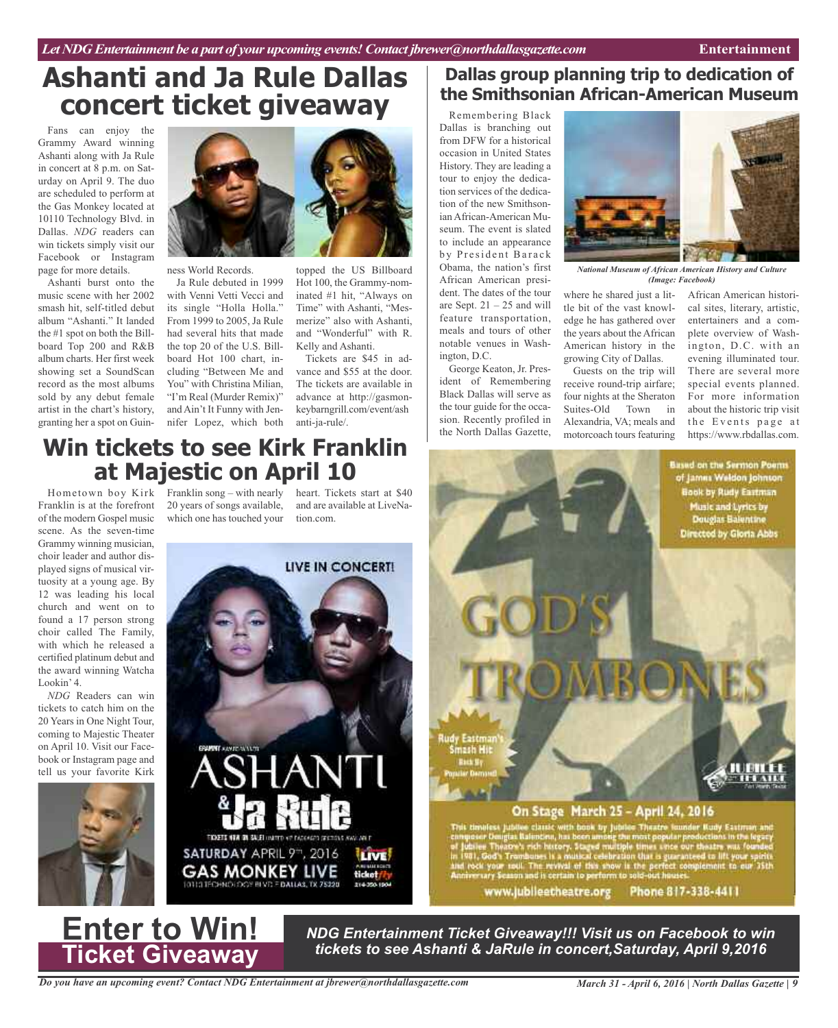# **Ashanti and Ja Rule Dallas concert ticket giveaway**

Fans can enjoy the Grammy Award winning Ashanti along with Ja Rule in concert at 8 p.m. on Saturday on April 9. The duo are scheduled to perform at the Gas Monkey located at 10110 Technology Blvd. in Dallas. *NDG* readers can win tickets simply visit our Facebook or Instagram page for more details.

Ashanti burst onto the music scene with her 2002 smash hit, self-titled debut album "Ashanti." It landed the #1 spot on both the Billboard Top 200 and R&B album charts. Her first week showing set a SoundScan record as the most albums sold by any debut female artist in the chart's history, granting her a spot on Guin-



ness World Records.

Ja Rule debuted in 1999 with Venni Vetti Vecci and its single "Holla Holla." From 1999 to 2005, Ja Rule had several hits that made the top 20 of the U.S. Billboard Hot 100 chart, including "Between Me and You" with Christina Milian, "I'm Real (Murder Remix)" and Ain't It Funny with Jennifer Lopez, which both

topped the US Billboard Hot 100, the Grammy-nominated #1 hit, "Always on Time" with Ashanti, "Mesmerize" also with Ashanti, and "Wonderful" with R. Kelly and Ashanti.

Tickets are \$45 in advance and \$55 at the door. The tickets are available in advance at http://gasmonkeybarngrill.com/event/ash anti-ja-rule/.

### **Dallas group planning trip to dedication of the Smithsonian African-American Museum**

Remembering Black Dallas is branching out from DFW for a historical occasion in United States History. They are leading a tour to enjoy the dedication services of the dedication of the new Smithsonian African-American Museum. The event is slated to include an appearance by President Barack Obama, the nation's first African American president. The dates of the tour are Sept.  $21 - 25$  and will feature transportation, meals and tours of other notable venues in Washington, D.C.

George Keaton, Jr. President of Remembering Black Dallas will serve as the tour guide for the occasion. Recently profiled in the North Dallas Gazette,

*National Museum of African American History and Culture (Image: Facebook)*

where he shared just a little bit of the vast knowledge he has gathered over the years about the African American history in the growing City of Dallas.

Guests on the trip will receive round-trip airfare; four nights at the Sheraton Suites-Old Town in Alexandria, VA; meals and motorcoach tours featuring

African American historical sites, literary, artistic, entertainers and a complete overview of Washington, D.C. with an evening illuminated tour. There are several more special events planned. For more information about the historic trip visit the Events page at https://www.rbdallas.com.

**Based on the Sermon Poems** of James Weldon Johnson **Book by Rudy Eastman Music and Lyrics by<br>Douglas Balentine** 

Directed by Gloria Abbs

## **Win tickets to see Kirk Franklin at Majestic on April 10**

Franklin is at the forefront of the modern Gospel music scene. As the seven-time Grammy winning musician, choir leader and author displayed signs of musical virtuosity at a young age. By 12 was leading his local church and went on to found a 17 person strong choir called The Family, with which he released a certified platinum debut and the award winning Watcha Lookin' 4.

*NDG* Readers can win tickets to catch him on the 20 Years in One Night Tour, coming to Majestic Theater on April 10. Visit our Facebook or Instagram page and tell us your favorite Kirk



Hometown boy Kirk Franklin song – with nearly heart. Tickets start at \$40 20 years of songs available, which one has touched your

and are available at LiveNation.com.



# the classic with book by Jubilee Theatre lounder Rudy Eastman and Railmoins, has been among the most popular productions in the legacity rich history. Staged multiple times unce our theatre was founded<br>wholes is a multical Phone 817-338-4411 www.jubileetheatre.org

On Stage March 25 - April 24, 2016

**Enter to Win! Ticket Giveaway**

*NDG Entertainment Ticket Giveaway!!! Visit us on Facebook to win tickets to see Ashanti & JaRule in concert,Saturday, April 9,2016*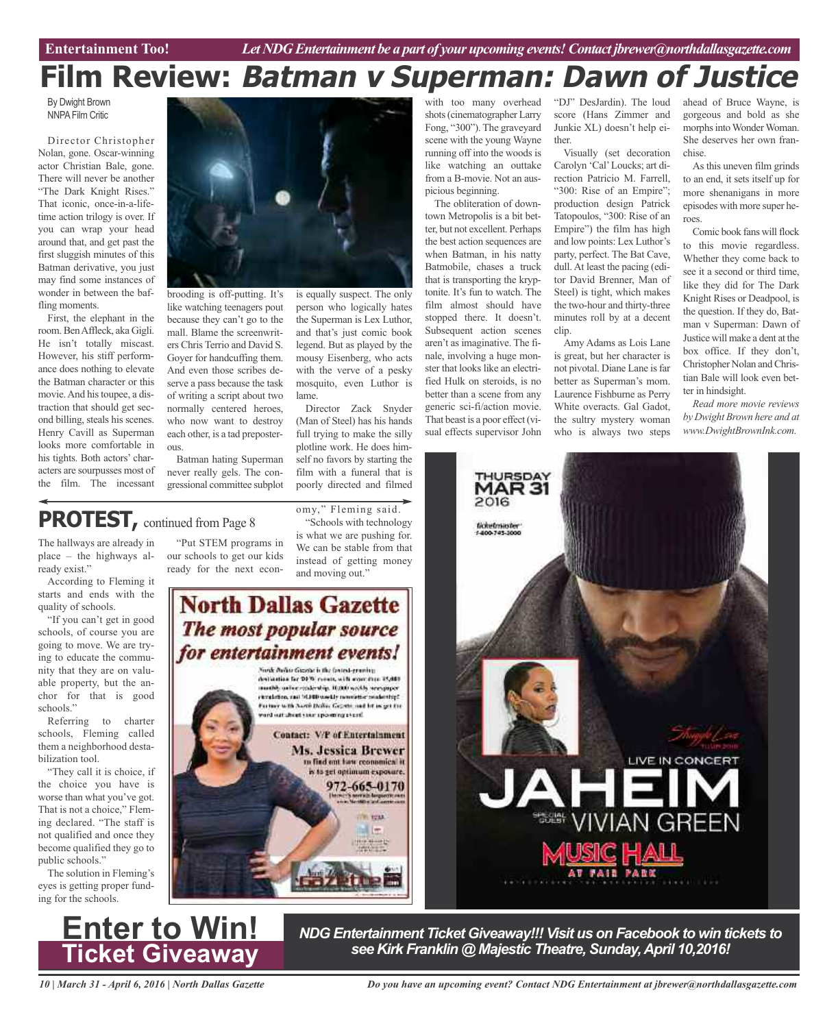# **Film Review: Batman <sup>v</sup> Superman: Dawn of Justice**

By Dwight Brown NNPA Film Critic

Director Christopher Nolan, gone. Oscar-winning actor Christian Bale, gone. There will never be another "The Dark Knight Rises." That iconic, once-in-a-lifetime action trilogy is over. If you can wrap your head around that, and get past the first sluggish minutes of this Batman derivative, you just may find some instances of wonder in between the baffling moments.

First, the elephant in the room.BenAffleck, aka Gigli. He isn't totally miscast. However, his stiff performance does nothing to elevate the Batman character or this movie.And histoupee, a distraction that should get second billing, steals his scenes. Henry Cavill as Superman looks more comfortable in his tights. Both actors' characters are sourpusses most of the film. The incessant

The hallways are already in place – the highways al-

**PROTEST,** continued from Page <sup>8</sup>

ready exist."

quality of schools.



brooding is off-putting. It's like watching teenagers pout because they can't go to the mall. Blame the screenwriters Chris Terrio and David S. Goyer for handcuffing them. And even those scribes deserve a pass because the task of writing a script about two normally centered heroes, who now want to destroy each other, is a tad preposterous.

Batman hating Superman never really gels. The congressional committee subplot

"Put STEM programs in our schools to get our kids ready for the next econis equally suspect. The only person who logically hates the Superman is Lex Luthor, and that's just comic book legend. But as played by the mousy Eisenberg, who acts with the verve of a pesky mosquito, even Luthor is lame.

Director Zack Snyder (Man of Steel) has his hands full trying to make the silly plotline work. He does him-

to find out haw conomical it is to get optimum exposure 972-665-0170

> **PL TOUL** ni im

#### with too many overhead shots(cinematographer Larry Fong, "300"). The graveyard scene with the young Wayne running off into the woods is like watching an outtake from a B-movie. Not an auspicious beginning.

The obliteration of downtown Metropolis is a bit better, but not excellent. Perhaps the best action sequences are when Batman, in his natty Batmobile, chases a truck that is transporting the kryptonite. It's fun to watch. The film almost should have stopped there. It doesn't. Subsequent action scenes aren't as imaginative. The finale, involving a huge monster that looks like an electrified Hulk on steroids, is no better than a scene from any generic sci-fi/action movie. That beast is a poor effect (visual effects supervisor John

"DJ" DesJardin). The loud score (Hans Zimmer and Junkie XL) doesn't help either.

Visually (set decoration Carolyn 'Cal'Loucks; art direction Patricio M. Farrell, "300: Rise of an Empire"; production design Patrick Tatopoulos, "300: Rise of an Empire") the film has high and low points: Lex Luthor's party, perfect. The Bat Cave, dull. At least the pacing (editor David Brenner, Man of Steel) is tight, which makes the two-hour and thirty-three minutes roll by at a decent clip.

Amy Adams as Lois Lane is great, but her character is not pivotal. Diane Lane isfar better as Superman's mom. Laurence Fishburne as Perry White overacts. Gal Gadot, the sultry mystery woman who is always two steps

ahead of Bruce Wayne, is gorgeous and bold as she morphs into Wonder Woman. She deserves her own franchise.

As this uneven film grinds to an end, it sets itself up for more shenanigans in more episodes with more super heroes.

Comic book fans will flock to this movie regardless. Whether they come back to see it a second or third time, like they did for The Dark Knight Rises or Deadpool, is the question. If they do, Batman v Superman: Dawn of Justice will make a dent at the box office. If they don't, Christopher Nolan andChristian Bale will look even better in hindsight.

*Read more movie reviews by Dwight Brown here and at www.DwightBrownInk.com.*

LIVE IN CONCERT

**SES VIVIAN GREEN** 

### self no favors by starting the film with a funeral that is **MAR31** poorly directed and filmed 2016 omy," Fleming said. "Schools with technology fichefmuster<br>1409-745-1000 is what we are pushing for. We can be stable from that instead of getting money and moving out." declination for DFW remain, with more than 15,000. modify arise restrating 10,000 weekly recognizer<br>circulation, and 10,000 weekly remainter readership? Former with Austin Dollar George and by as get the and out cheet veer use emissional. **Contact: V/P of Entertainment** Ms. Jessica Brewer

According to Fleming it starts and ends with the **North Dallas Gazette** "If you can't get in good The most popular source schools, of course you are going to move. We are tryfor entertainment events! ing to educate the commu-Norde Bullist Giazzia is the favors i-granity. nity that they are on valu-

able property, but the anchor for that is good schools." Referring to charter schools, Fleming called them a neighborhood destabilization tool.

"They call it is choice, if the choice you have is worse than what you've got. That is not a choice," Fleming declared. "The staff is not qualified and once they become qualified they go to public schools."

The solution in Fleming's eyes is getting proper funding for the schools.



*NDG Entertainment Ticket Giveaway!!! Visit us on Facebook to win tickets to see Kirk Franklin @ Majestic Theatre, Sunday,April 10,2016!*

*10 | March 31 - April 6, 2016 | North Dallas Gazette*

*Do you have an upcoming event? Contact NDG Entertainment at jbrewer@northdallasgazette.com*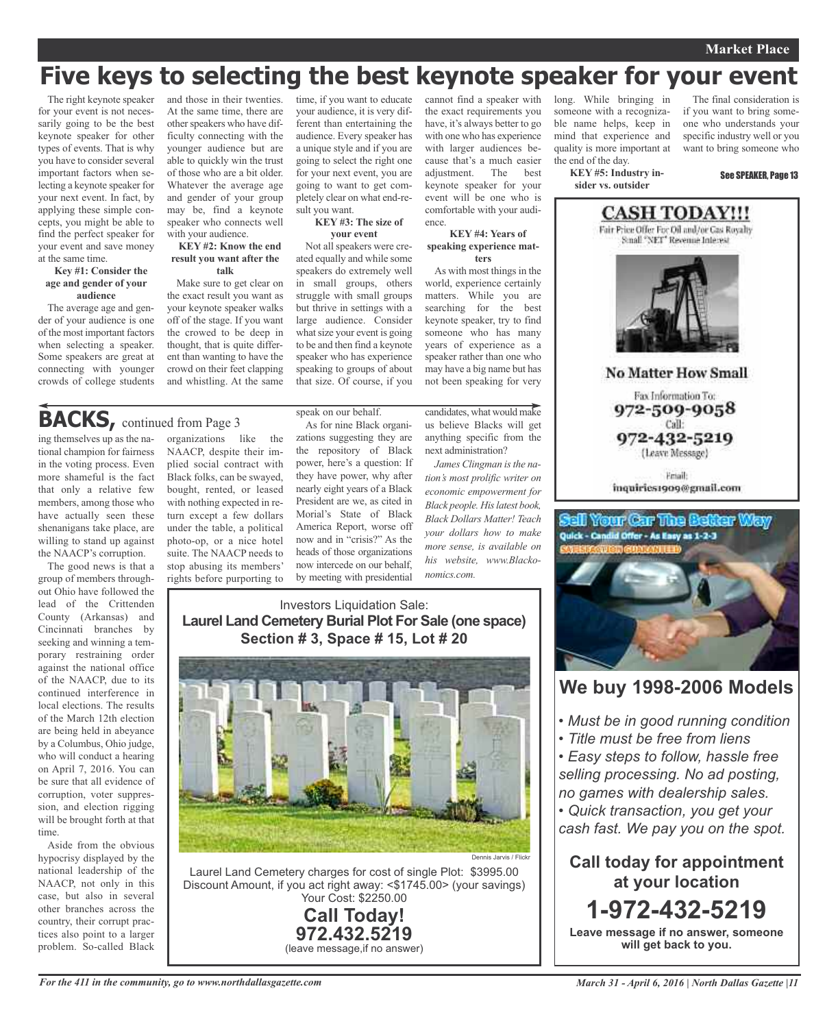### **Market Place**

The final consideration is if you want to bring someone who understands your

# **Five keys to selecting the best keynote speaker for your event**

The right keynote speaker for your event is not necessarily going to be the best keynote speaker for other types of events. That is why you have to consider several important factors when selecting a keynote speaker for your next event. In fact, by applying these simple concepts, you might be able to find the perfect speaker for your event and save money at the same time.

#### **Key #1: Consider the age and gender of your audience**

The average age and gender of your audience is one of the most important factors when selecting a speaker. Some speakers are great at connecting with younger crowds of college students

ing themselves up as the national champion for fairness in the voting process. Even more shameful is the fact that only a relative few members, among those who have actually seen these shenanigans take place, are willing to stand up against the NAACP's corruption. The good news is that a group of members throughout Ohio have followed the lead of the Crittenden County (Arkansas) and Cincinnati branches by seeking and winning a temporary restraining order against the national office of the NAACP, due to its continued interference in local elections. The results of the March 12th election are being held in abeyance by a Columbus, Ohio judge, who will conduct a hearing on April 7, 2016. You can be sure that all evidence of corruption, voter suppression, and election rigging will be brought forth at that

**BACKS,** continued from Page <sup>3</sup>

time.

Aside from the obvious hypocrisy displayed by the national leadership of the NAACP, not only in this case, but also in several other branches across the country, their corrupt practices also point to a larger and those in their twenties. At the same time, there are other speakers who have difficulty connecting with the younger audience but are able to quickly win the trust of those who are a bit older. Whatever the average age and gender of your group may be, find a keynote speaker who connects well with your audience.

#### **KEY #2: Know the end result you want after the talk**

Make sure to get clear on the exact result you want as your keynote speaker walks off of the stage. If you want the crowed to be deep in thought, that is quite different than wanting to have the crowd on their feet clapping and whistling. At the same

organizations like the NAACP, despite their implied social contract with Black folks, can be swayed, bought, rented, or leased with nothing expected in return except a few dollars under the table, a political photo-op, or a nice hotel suite. The NAACP needs to stop abusing its members'

time, if you want to educate your audience, it is very different than entertaining the audience. Every speaker has a unique style and if you are going to select the right one for your next event, you are going to want to get completely clear on what end-result you want.

#### **KEY #3: The size of your event**

Not all speakers were created equally and while some speakers do extremely well in small groups, others struggle with small groups but thrive in settings with a large audience. Consider what size your event is going to be and then find a keynote speaker who has experience speaking to groups of about that size. Of course, if you

speak on our behalf.

As for nine Black organizations suggesting they are the repository of Black power, here's a question: If they have power, why after nearly eight years of a Black President are we, as cited in Morial's State of Black America Report, worse off now and in "crisis?" As the heads of those organizations now intercede on our behalf,

the exact requirements you have, it's always better to go with one who has experience with larger audiences because that's a much easier<br>adjustment. The best The best keynote speaker for your event will be one who is comfortable with your audience.

cannot find a speaker with

**KEY #4: Years of speaking experience matters**

As with most things in the world, experience certainly matters. While you are searching for the best keynote speaker, try to find someone who has many years of experience as a speaker rather than one who may have a big name but has not been speaking for very

candidates, what would make us believe Blacks will get anything specific from the next administration?

*James Clingman isthe nation's most prolific writer on economic empowerment for Black people. Hislatest book, Black Dollars Matter! Teach your dollars how to make more sense, is available on his website, www.Blackonomics.com.*

### Investors Liquidation Sale: **Laurel Land Cemetery Burial Plot For Sale (one space) Section # 3, Space # 15, Lot # 20**



Discount Amount, if you act right away: <\$1745.00> (your savings) Your Cost: \$2250.00

> **Call Today! 972.432.5219** (leave message,if no answer)

# rights before purporting to by meeting with presidential



problem. So-called Black

mind that experience and specific industry well or you quality is more important at want to bring someone who the end of the day. **KEY #5: Industry in-**See SPEAKER, Page 13 **sider vs. outsider CASH TODAY!!!** Fair Price Offer For Oil and/or Gas Royalty Small "NET" Revenue Interest

long. While bringing in someone with a recognizable name helps, keep in



**No Matter How Small** 

Fax Information To: 972-509-9058 Call: 972-432-5219

(Leave Message)

Fmail: inquiries1909@gmail.com

### tell Your Car The Better Way Quick - Candid Offer - As Easy as 1-2-3



### **We buy 1998-2006 Models**

- *• Must be in good running condition*
- *• Title must be free from liens*

*• Easy steps to follow, hassle free selling processing. No ad posting, no games with dealership sales.*

*• Quick transaction, you get your cash fast. We pay you on the spot.*

**Call today for appointment at your location 1-972-432-5219 Leave message if no answer, someone**

**will get back to you.**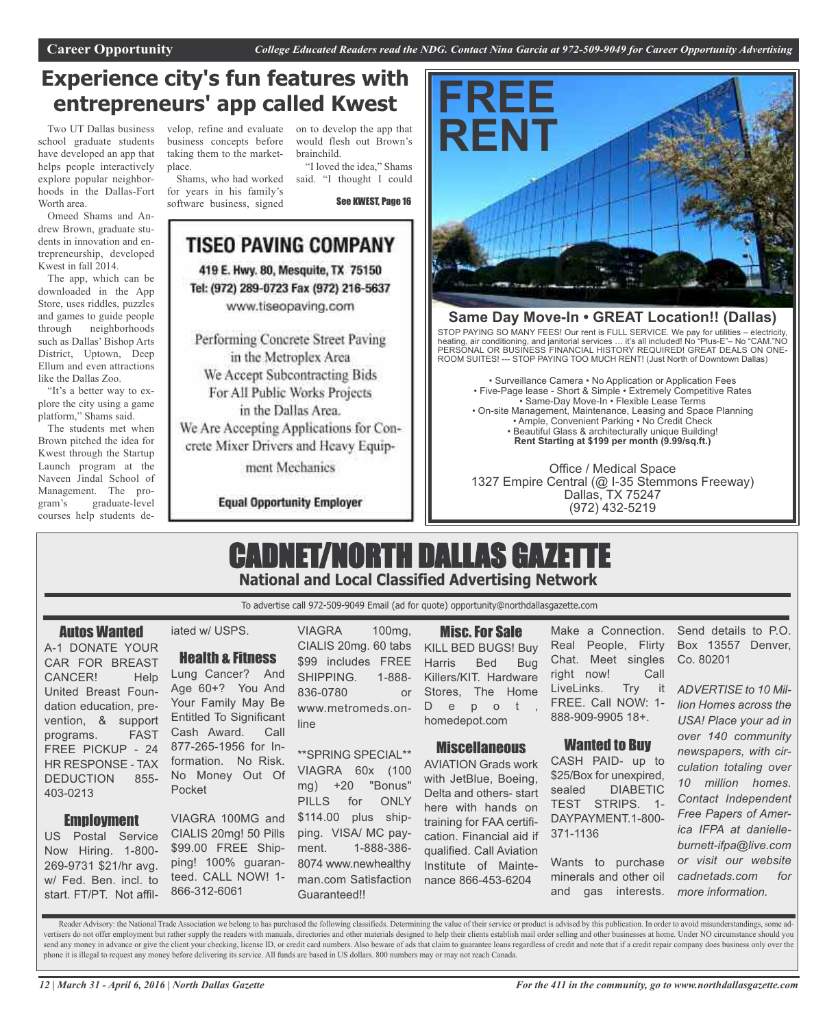## **Experience city's fun features with entrepreneurs' app called Kwest**

Two UT Dallas business school graduate students have developed an app that helps people interactively explore popular neighborhoods in the Dallas-Fort Worth area.

Omeed Shams and Andrew Brown, graduate students in innovation and entrepreneurship, developed Kwest in fall 2014.

The app, which can be downloaded in the App Store, uses riddles, puzzles and games to guide people through neighborhoods such as Dallas' Bishop Arts District, Uptown, Deep Ellum and even attractions like the Dallas Zoo.

"It's a better way to explore the city using a game platform," Shams said.

The students met when Brown pitched the idea for Kwest through the Startup Launch program at the Naveen Jindal School of Management. The program's graduate-level courses help students de-

velop, refine and evaluate on to develop the app that business concepts before taking them to the marketplace.

Shams, who had worked for years in his family's software business, signed

would flesh out Brown's brainchild. "I loved the idea," Shams

said. "I thought I could

See KWEST, Page 16



ment Mechanics

### **Equal Opportunity Employer**



### **Same Day Move-In • GREAT Location!! (Dallas)**

STOP PAYING SO MANY FEES! Our rent is FULL SERVICE. We pay for utilities – electricity, heating, air conditioning, and janitorial services … it's all included! No "Plus-E"– No "CAM."NO PERSONAL OR BUSINESS FINANCIAL HISTORY REQUIRED! GREAT DEALS ON ONE-ROOM SUITES! --- STOP PAYING TOO MUCH RENT! (Just North of Downtown Dallas)

• Surveillance Camera • No Application or Application Fees • Five-Page lease - Short & Simple • Extremely Competitive Rates • Same-Day Move-In • Flexible Lease Terms • On-site Management, Maintenance, Leasing and Space Planning • Ample, Convenient Parking • No Credit Check • Beautiful Glass & architecturally unique Building! **Rent Starting at \$199 per month (9.99/sq.ft.)**

Office / Medical Space 1327 Empire Central (@ I-35 Stemmons Freeway) Dallas, TX 75247 (972) 432-5219

## CADNET/NORTH DALLAS GAZETTE **National and Local Classified Advertising Network**

To advertise call 972-509-9049 Email (ad for quote) opportunity@northdallasgazette.com

### Autos Wanted

A-1 DONATE YOUR CAR FOR BREAST CANCER! Help United Breast Foundation education, prevention, & support programs. FAST FREE PICKUP - 24 HR RESPONSE - TAX DEDUCTION 855- 403-0213

### Employment

US Postal Service Now Hiring. 1-800- 269-9731 \$21/hr avg. w/ Fed. Ben. incl. to start. FT/PT. Not affil-

### iated w/ USPS.

### Health & Fitness

Lung Cancer? And Age 60+? You And Your Family May Be Entitled To Significant Cash Award. Call 877-265-1956 for Information. No Risk. No Money Out Of Pocket

VIAGRA 100MG and CIALIS 20mg! 50 Pills \$99.00 FREE Shipping! 100% guaranteed. CALL NOW! 1- 866-312-6061

VIAGRA 100mg, CIALIS 20mg. 60 tabs \$99 includes FREE SHIPPING. 1-888-836-0780 or www.metromeds.online

\*\*SPRING SPECIAL\*\* VIAGRA 60x (100 mg) +20 "Bonus" PILLS for ONLY \$114.00 plus shipping. VISA/ MC payment. 1-888-386- 8074 www.newhealthy man.com Satisfaction Guaranteed!!

Misc.For Sale

KILL BED BUGS! Buy Harris Bed Bug Killers/KIT. Hardware Stores, The Home D e p o t homedepot.com

### **Miscellaneous**

AVIATION Grads work with JetBlue, Boeing, Delta and others- start here with hands on training for FAA certification. Financial aid if qualified. Call Aviation Institute of Maintenance 866-453-6204

Make a Connection. Real People, Flirty Chat. Meet singles right now! Call LiveLinks. Try it FREE. Call NOW: 1- 888-909-9905 18+.

### Wanted to Buy

CASH PAID- up to \$25/Box for unexpired, sealed DIABETIC TEST STRIPS. 1- DAYPAYMENT.1-800- 371-1136

Wants to purchase minerals and other oil and gas interests.

Send details to P.O. Box 13557 Denver, Co. 80201

*ADVERTISE to 10 Million Homes across the USA! Place your ad in over 140 community newspapers, with circulation totaling over 10 million homes. Contact Independent Free Papers of America IFPA at danielleburnett-ifpa@live.com or visit our website cadnetads.com for more information.*

Reader Advisory: the National Trade Association we belong to has purchased the following classifieds. Determining the value of their service or product is advised by this publication. In order to avoid misunderstandings, s vertisers do not offer employment but rather supply the readers with manuals, directories and other materials designed to help their clients establish mail order selling and other businesses at home. Under NO circumstance send any money in advance or give the client your checking, license ID, or credit card numbers. Also beware of ads that claim to guarantee loans regardless of credit and note that if a credit repair company does business o phone it is illegal to request any money before delivering its service. All funds are based in US dollars. 800 numbers may or may not reach Canada.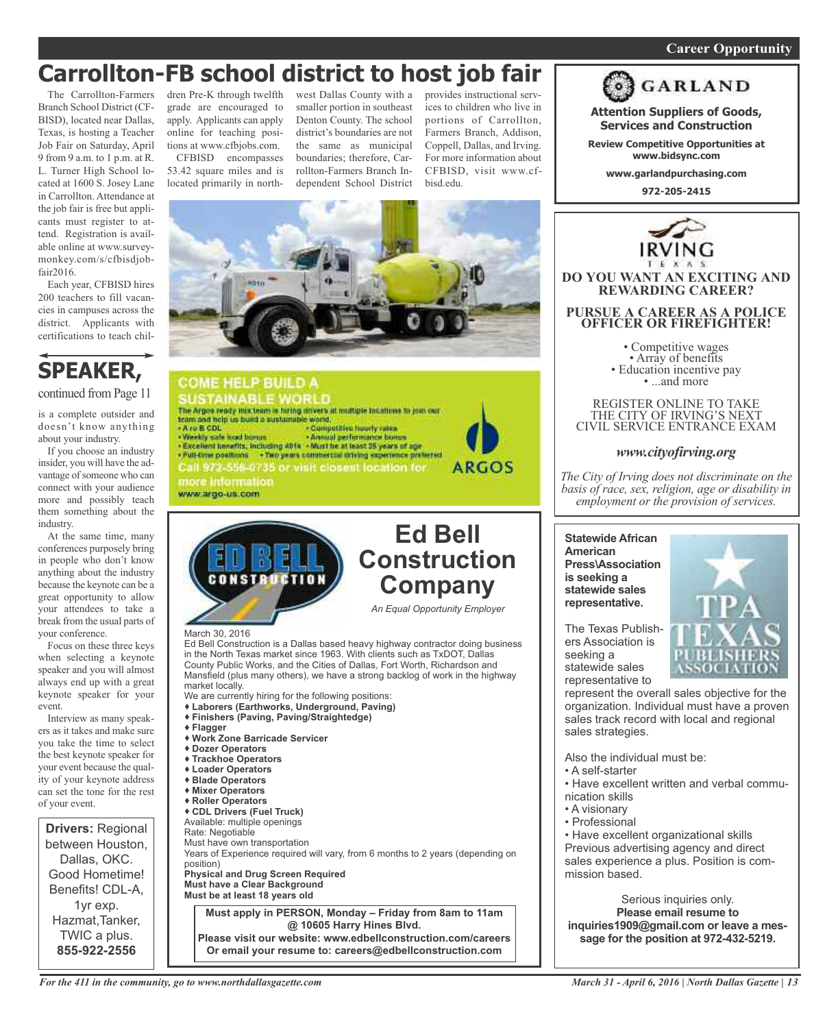### *On a quest for qualified candidates? Contact Nina Garcia at 972-509-9049* **Career Opportunity**

# **Carrollton-FB school district to host job fair**

The Carrollton-Farmers Branch School District (CF-BISD), located near Dallas, Texas, is hosting a Teacher Job Fair on Saturday, April 9 from 9 a.m. to 1 p.m. at R. L. Turner High School located at 1600 S. Josey Lane in Carrollton. Attendance at the job fair is free but applicants must register to attend. Registration is available online at www.surveymonkey.com/s/cfbisdjobfair2016.

Each year, CFBISD hires 200 teachers to fill vacancies in campuses across the district. Applicants with certifications to teach chil-

### **SPEAKER,** continued from Page 11

is a complete outsider and doesn't know anything about your industry.

If you choose an industry insider, you will have the advantage of someone who can connect with your audience more and possibly teach them something about the industry.

At the same time, many conferences purposely bring in people who don't know anything about the industry because the keynote can be a great opportunity to allow your attendees to take a break from the usual parts of your conference.

Focus on these three keys when selecting a keynote speaker and you will almost always end up with a great keynote speaker for your event.

Interview as many speakers as it takes and make sure you take the time to select the best keynote speaker for your event because the quality of your keynote address can set the tone for the rest of your event.



dren Pre-K through twelfth grade are encouraged to apply. Applicants can apply online for teaching positions at www.cfbjobs.com.

CFBISD encompasses 53.42 square miles and is located primarily in northwest Dallas County with a smaller portion in southeast Denton County. The school district's boundaries are not the same as municipal boundaries; therefore, Carrollton-Farmers Branch Independent School District

provides instructional services to children who live in portions of Carrollton, Farmers Branch, Addison, Coppell, Dallas, and Irving. For more information about CFBISD, visit www.cfbisd.edu.



**Services and Construction**

**Review Competitive Opportunities at www.bidsync.com**

**www.garlandpurchasing.com**

**972-205-2415**

**DO YOU WANT AN EXCITING AND REWARDING CAREER?**

**PURSUE A CAREER AS A POLICE OFFICER OR FIREFIGHTER!**

• Competitive wages<br>• Array of benefits<br>• Education incentive pay<br>• ...and more

REGISTER ONLINE TO TAKE THE CITY OF IRVING'S NEXT CIVIL SERVICE ENTRANCE EXAM

*www.cityofirving.org*

*The City of Irving does not discriminate on the basis of race, sex, religion, age or disability in*



**COME HELP BUILD A** SUSTAINABLE WORLD<br>The Arges ready mix team is huing drivers at multiple fountions to join our team and help us build a sustainable world. - A ru B CDL<br>- Weekly safe fixed bonus - Competitive hourly rates - Weekly sale load bonus - Annual performance bonus<br>- Excellent benefits, including 401s - Must he at least 35 years of age . Full-time positions . Two years commercial driving experience preferred Call 972-556-0735 or visit closest location for more information www.argo-us.com



Ed Bell Construction is a Dallas based heavy highway contractor doing business in the North Texas market since 1963. With clients such as TxDOT, Dallas County Public Works, and the Cities of Dallas, Fort Worth, Richardson and Mansfield (plus many others), we have a strong backlog of work in the highway market locally. We are currently hiring for the following positions:

 **Laborers (Earthworks, Underground, Paving) Finishers (Paving, Paving/Straightedge) Flagger Work Zone Barricade Servicer Dozer Operators Trackhoe Operators Loader Operators Blade Operators Mixer Operators Roller Operators CDL Drivers (Fuel Truck)**

Available: multiple openings Rate: Negotiable Must have own transportation Years of Experience required will vary, from 6 months to 2 years (depending on position) **Physical and Drug Screen Required Must have a Clear Background Must be at least 18 years old Must apply in PERSON, Monday – Friday from 8am to 11am @ 10605 Harry Hines Blvd.**

**Please visit our website: www.edbellconstruction.com/careers Or email your resume to: careers@edbellconstruction.com**



**Statewide African American Press\Association is seeking a statewide sales** *employment or the provision of services.*

The Texas Publishers Association is seeking a statewide sales representative to

**representative.**

represent the overall sales objective for the organization. Individual must have a proven sales track record with local and regional sales strategies.

Also the individual must be:

- A self-starter
- Have excellent written and verbal communication skills
- A visionary
- Professional

• Have excellent organizational skills Previous advertising agency and direct sales experience a plus. Position is commission based.

Serious inquiries only. **Please email resume to inquiries1909@gmail.com or leave a message for the position at 972-432-5219.**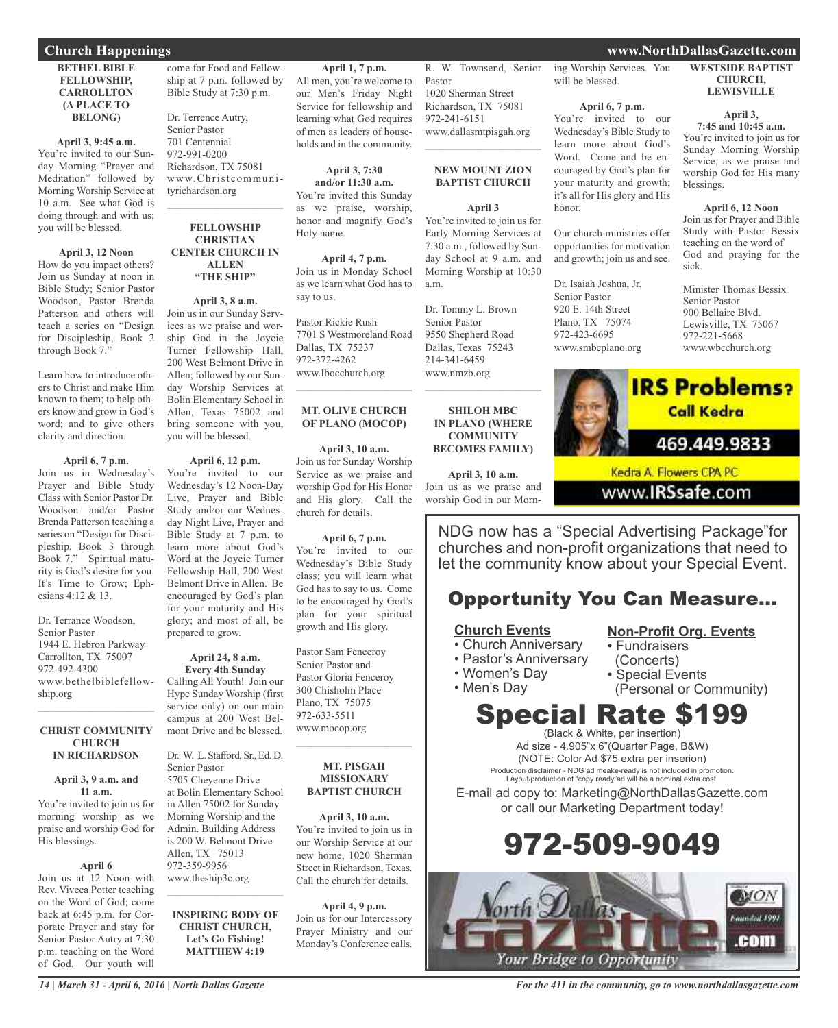### **Church Happenings www.NorthDallasGazette.com**

### **BETHEL BIBLE FELLOWSHIP, CARROLLTON (A PLACE TO BELONG)**

#### **April 3, 9:45 a.m.**

You're invited to our Sunday Morning "Prayer and Meditation" followed by Morning Worship Service at 10 a.m. See what God is doing through and with us; you will be blessed.

### **April 3, 12 Noon**

How do you impact others? Join us Sunday at noon in Bible Study; Senior Pastor Woodson, Pastor Brenda Patterson and others will teach a series on "Design for Discipleship, Book 2 through Book 7."

Learn how to introduce others to Christ and make Him known to them; to help others know and grow in God's word; and to give others clarity and direction.

### **April 6, 7 p.m.**

Join us in Wednesday's Prayer and Bible Study Class with Senior Pastor Dr. Woodson and/or Pastor Brenda Patterson teaching a series on "Design for Discipleship, Book 3 through Book 7." Spiritual maturity is God's desire for you. It's Time to Grow; Ephesians 4:12 & 13.

Dr. Terrance Woodson, Senior Pastor 1944 E. Hebron Parkway Carrollton, TX 75007 972-492-4300 www.bethelbiblefellowship.org

#### **CHRIST COMMUNITY CHURCH IN RICHARDSON**

 $\mathcal{L}_\text{max}$  , which is a set of the set of the set of the set of the set of the set of the set of the set of the set of the set of the set of the set of the set of the set of the set of the set of the set of the set of

### **April 3, 9 a.m. and**

**11 a.m.** You're invited to join us for morning worship as we praise and worship God for His blessings.

### **April 6**

Join us at 12 Noon with Rev. Viveca Potter teaching on the Word of God; come back at 6:45 p.m. for Corporate Prayer and stay for Senior Pastor Autry at 7:30 p.m. teaching on the Word of God. Our youth will

come for Food and Fellowship at 7 p.m. followed by Bible Study at 7:30 p.m.

Dr. Terrence Autry, Senior Pastor 701 Centennial 972-991-0200 Richardson, TX 75081 www.Christcommunityrichardson.org

#### **FELLOWSHIP CHRISTIAN CENTER CHURCH IN ALLEN "THE SHIP"**

 $\mathcal{L}_\text{max}$  and  $\mathcal{L}_\text{max}$  and  $\mathcal{L}_\text{max}$ 

### **April 3, 8 a.m.**

Join us in our Sunday Services as we praise and worship God in the Joycie Turner Fellowship Hall, 200 West Belmont Drive in Allen; followed by our Sunday Worship Services at Bolin Elementary School in Allen, Texas 75002 and bring someone with you, you will be blessed.

#### **April 6, 12 p.m.**

You're invited to our Wednesday's 12 Noon-Day Live, Prayer and Bible Study and/or our Wednesday Night Live, Prayer and Bible Study at 7 p.m. to learn more about God's Word at the Joycie Turner Fellowship Hall, 200 West Belmont Drive in Allen. Be encouraged by God's plan for your maturity and His glory; and most of all, be prepared to grow.

### **April 24, 8 a.m. Every 4th Sunday**

Calling All Youth! Join our Hype Sunday Worship (first service only) on our main campus at 200 West Belmont Drive and be blessed.

Dr. W. L. Stafford, Sr., Ed. D. Senior Pastor 5705 Cheyenne Drive at Bolin Elementary School in Allen 75002 for Sunday Morning Worship and the Admin. Building Address is 200 W. Belmont Drive Allen, TX 75013 972-359-9956 www.theship3c.org

### **INSPIRING BODY OF CHRIST CHURCH, Let's Go Fishing! MATTHEW 4:19**

 $\mathcal{L}_\text{max}$  and  $\mathcal{L}_\text{max}$  and  $\mathcal{L}_\text{max}$ 

**April 1, 7 p.m.** All men, you're welcome to our Men's Friday Night Service for fellowship and learning what God requires of men as leaders of households and in the community.

**April 3, 7:30 and/or 11:30 a.m.** You're invited this Sunday as we praise, worship, honor and magnify God's Holy name.

**April 4, 7 p.m.** Join us in Monday School as we learn what God has to say to us.

Pastor Rickie Rush 7701 S Westmoreland Road Dallas, TX 75237 972-372-4262 www.Ibocchurch.org  $\overline{\phantom{a}}$  , and the set of the set of the set of the set of the set of the set of the set of the set of the set of the set of the set of the set of the set of the set of the set of the set of the set of the set of the s

### **MT. OLIVE CHURCH OF PLANO (MOCOP)**

**April 3, 10 a.m.** Join us for Sunday Worship Service as we praise and worship God for His Honor and His glory. Call the church for details.

### **April 6, 7 p.m.**

You're invited to our Wednesday's Bible Study class; you will learn what God has to say to us. Come to be encouraged by God's plan for your spiritual growth and His glory.

Pastor Sam Fenceroy Senior Pastor and Pastor Gloria Fenceroy 300 Chisholm Place Plano, TX 75075 972-633-5511 www.mocop.org  $\overline{\phantom{a}}$  , and the set of the set of the set of the set of the set of the set of the set of the set of the set of the set of the set of the set of the set of the set of the set of the set of the set of the set of the s

#### **MT. PISGAH MISSIONARY BAPTIST CHURCH**

**April 3, 10 a.m.** You're invited to join us in our Worship Service at our new home, 1020 Sherman Street in Richardson, Texas. Call the church for details.

**April 4, 9 p.m.** Join us for our Intercessory Prayer Ministry and our Monday's Conference calls.

R. W. Townsend, Senior Pastor 1020 Sherman Street Richardson, TX 75081 972-241-6151 www.dallasmtpisgah.org

### **NEW MOUNT ZION BAPTIST CHURCH**

### **April 3**

 $\mathcal{L}$  , and the set of the set of the set of the set of the set of the set of the set of the set of the set of the set of the set of the set of the set of the set of the set of the set of the set of the set of the set

You're invited to join us for Early Morning Services at 7:30 a.m., followed by Sunday School at 9 a.m. and Morning Worship at 10:30 a.m.

Dr. Tommy L. Brown Senior Pastor 9550 Shepherd Road Dallas, Texas 75243 214-341-6459 www.nmzb.org  $\mathcal{L}$  , and the set of the set of the set of the set of the set of the set of the set of the set of the set of the set of the set of the set of the set of the set of the set of the set of the set of the set of the set

**SHILOH MBC IN PLANO (WHERE COMMUNITY BECOMES FAMILY)**

**April 3, 10 a.m.** Join us as we praise and worship God in our Morning Worship Services. You will be blessed.

### **April 6, 7 p.m.**

You're invited to our Wednesday's Bible Study to learn more about God's Word. Come and be encouraged by God's plan for your maturity and growth; it's all for His glory and His honor.

Our church ministries offer opportunities for motivation and growth; join us and see.

Dr. Isaiah Joshua, Jr. Senior Pastor 920 E. 14th Street Plano, TX 75074 972-423-6695 www.smbcplano.org

#### **WESTSIDE BAPTIST CHURCH, LEWISVILLE**

**April 3,**

**7:45 and 10:45 a.m.** You're invited to join us for Sunday Morning Worship Service, as we praise and worship God for His many blessings.

### **April 6, 12 Noon**

Join us for Prayer and Bible Study with Pastor Bessix teaching on the word of God and praying for the sick.

Minister Thomas Bessix Senior Pastor 900 Bellaire Blvd. Lewisville, TX 75067 972-221-5668 www.wbcchurch.org



Kedra A. Flowers CPA PC

www.**IRSsafe**.com

NDG now has a "Special Advertising Package"for churches and non-profit organizations that need to let the community know about your Special Event.

### Opportunity You Can Measure...

### **Church Events**

- Church Anniversary
- Pastor's Anniversary
- Women's Day
- Men's Day

### **Non-Profit Org. Events**

- Fundraisers
- (Concerts)
- - Special Events
		- (Personal or Community)

# Special Rate \$199

(Black & White, per insertion) Ad size - 4.905"x 6"(Quarter Page, B&W) (NOTE: Color Ad \$75 extra per inserion) Production disclaimer - NDG ad meake-ready is not included in promotion. Layout/production of "copy ready"ad will be a nominal extra cost.

E-mail ad copy to: Marketing@NorthDallasGazette.com or call our Marketing Department today!

# 972-509-9049

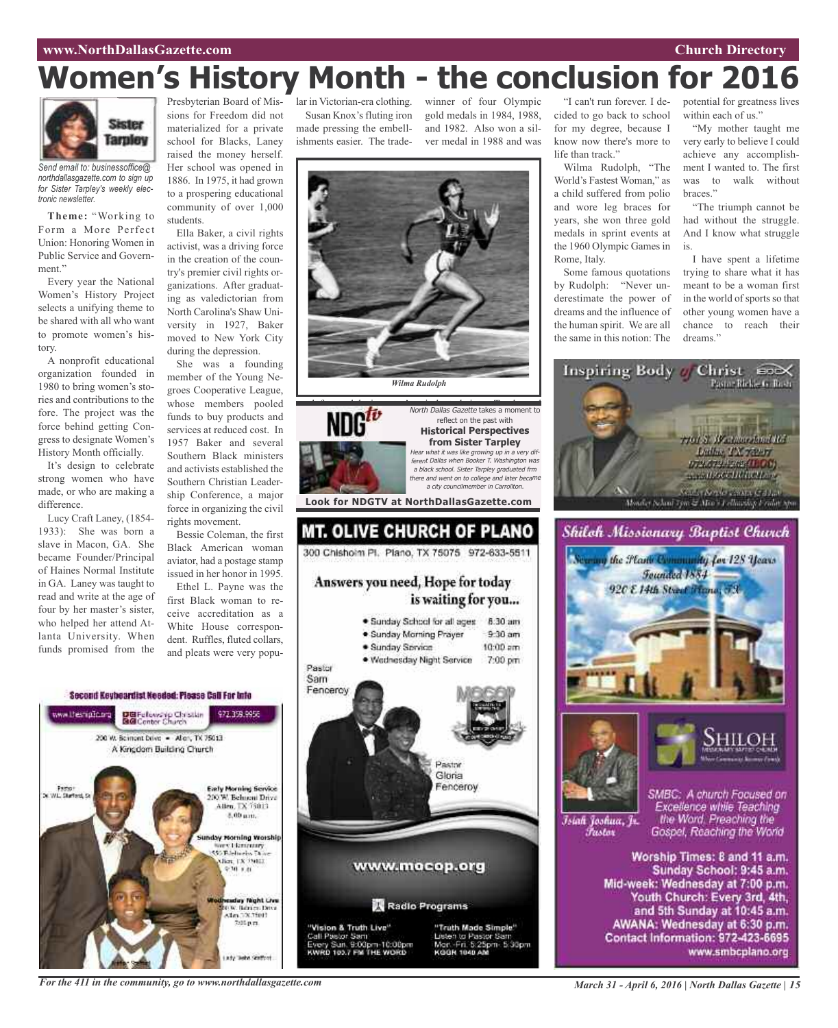### **www.NorthDallasGazette.com Church Directory**

# **Women's History Month - the conclusion for 2016**



*Send email to: businessoffice@ northdallasgazette.com to sign up for Sister Tarpley's weekly electronic newsletter.*

**Theme:** "Working to Form a More Perfect Union: Honoring Women in Public Service and Government."

Every year the National Women's History Project selects a unifying theme to be shared with all who want to promote women's history.

A nonprofit educational organization founded in 1980 to bring women's stories and contributions to the fore. The project was the force behind getting Congress to designate Women's History Month officially.

It's design to celebrate strong women who have made, or who are making a difference.

Lucy Craft Laney, (1854- 1933): She was born a slave in Macon, GA. She became Founder/Principal of Haines Normal Institute in GA. Laney was taught to read and write at the age of four by her master's sister, who helped her attend Atlanta University. When funds promised from the

Presbyterian Board of Missions for Freedom did not materialized for a private school for Blacks, Laney raised the money herself. Her school was opened in 1886. In 1975, it had grown to a prospering educational community of over 1,000 students.

Ella Baker, a civil rights activist, was a driving force in the creation of the country's premier civil rights organizations. After graduating as valedictorian from North Carolina's Shaw University in 1927, Baker moved to New York City during the depression.

She was a founding member of the Young Negroes Cooperative League, whose members pooled funds to buy products and services at reduced cost. In 1957 Baker and several Southern Black ministers and activists established the Southern Christian Leadership Conference, a major force in organizing the civil rights movement.

Bessie Coleman, the first Black American woman aviator, had a postage stamp issued in her honor in 1995.

Ethel L. Payne was the first Black woman to receive accreditation as a White House correspondent. Ruffles, fluted collars, and pleats were very popu-



lar in Victorian-era clothing. Susan Knox's fluting iron made pressing the embellishments easier. The tradewinner of four Olympic gold medals in 1984, 1988, and 1982. Also won a silver medal in 1988 and was



300 Chisholm Pl. Plano, TX 75075 972-633-5511 Answers you need, Hope for today is waiting for you... · Sunday School for all ages 8:30 am · Sunday Morning Prayer  $9.30$  am

> $10:00$  am · Wednesday Night Service 7:00 pm



Second Keybeardist Needed: Please Call For Into



Call Pastor Sam usten to Pastor San ry Sun. 9:00pm-10:00pm<br>RD 103.7 FM THE WORD Mor. Fri. 5:25pm. 5:30pm<br>коон 1040 AM

"I can't run forever. I decided to go back to school for my degree, because I know now there's more to life than track."

Wilma Rudolph, "The World's Fastest Woman," as a child suffered from polio and wore leg braces for years, she won three gold medals in sprint events at the 1960 Olympic Games in Rome, Italy.

Some famous quotations by Rudolph: "Never underestimate the power of dreams and the influence of the human spirit. We are all the same in this notion: The

potential for greatness lives within each of us."

"My mother taught me very early to believe I could achieve any accomplishment I wanted to. The first was to walk without braces."

"The triumph cannot be had without the struggle. And I know what struggle is.

I have spent a lifetime trying to share what it has meant to be a woman first in the world of sports so that other young women have a chance to reach their dreams."







Īsiah Joshua, Jr. Fustor

SMBC: A church Focused on Excellence while Teaching the Word. Preaching the Gospel, Reaching the World

Worship Times: 8 and 11 a.m. Sunday School: 9:45 a.m. Mid-week: Wednesday at 7:00 p.m. Youth Church: Every 3rd, 4th, and 5th Sunday at 10:45 a.m. AWANA: Wednesday at 6:30 p.m. Contact Information: 972-423-6695 www.smbcplano.org

*For the 411 in the community, go to www.northdallasgazette.com*